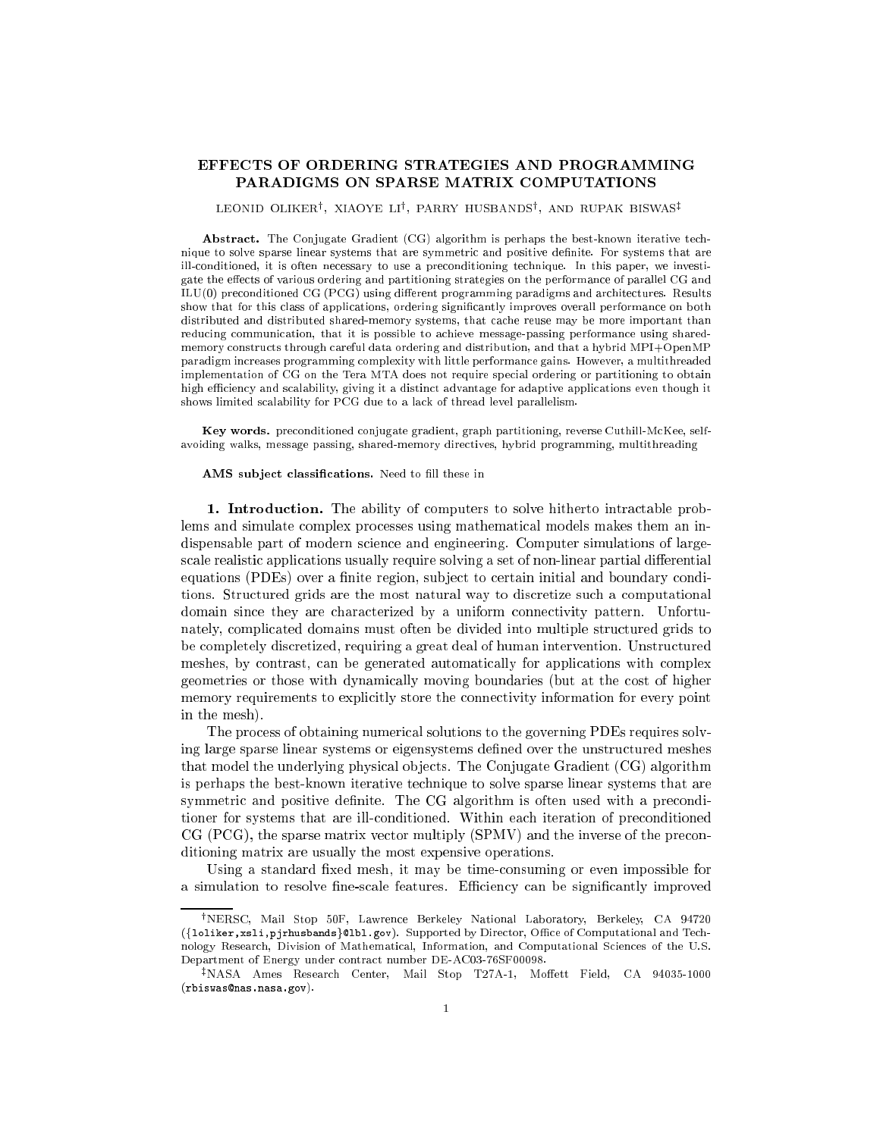## EFFECTS OF ORDERING STRATEGIES AND PROGRAMMING PARADIGMS ON SPARSE MATRIX COMPUTATIONS

LEONID OLIKER', XIAOYE LI', PARRY HUSBANDS', AND RUPAK BISWAS‡

Abstract. The Conjugate Gradient (CG) algorithm is perhaps the best-known iterative technique to solve sparse linear systems that are symmetric and positive definite. For systems that are ill-conditioned, it is often necessary to use a preconditioning technique. In this paper, we investigate the effects of various ordering and partitioning strategies on the performance of parallel CG and ILU(0) preconditioned CG (PCG) using different programming paradigms and architectures. Results show that for this class of applications, ordering signicantly improves overall performance on both distributed and distributed shared-memory systems, that cache reuse may be more important than reducing communication, that it is possible to achieve message-passing performance using sharedmemory constructs through careful data ordering and distribution, and that a hybrid MPI+OpenMP paradigm increases programming complexity with little performance gains. However, a multithreaded implementation of CG on the Tera MTA does not require special ordering or partitioning to obtain high efficiency and scalability, giving it a distinct advantage for adaptive applications even though it shows limited scalability for PCG due to a lack of thread level parallelism.

Key words. preconditioned conjugate gradient, graph partitioning, reverse Cuthill-McKee, selfavoiding walks, message passing, shared-memory directives, hybrid programming, multithreading

AMS subject classifications. Need to fill these in

1. Introduction. The ability of computers to solve hitherto intractable problems and simulate complex processes using mathematical models makes them an indispensable part of modern science and engineering. Computer simulations of largescale realistic applications usually require solving a set of non-linear partial differential equations (PDEs) over a finite region, subject to certain initial and boundary conditions. Structured grids are the most natural way to discretize such a computational domain since they are characterized by a uniform connectivity pattern. Unfortunately, complicated domains must often be divided into multiple structured grids to be completely discretized, requiring a great deal of human intervention. Unstructured meshes, by contrast, can be generated automatically for applications with complex geometries or those with dynamically moving boundaries (but at the cost of higher memory requirements to explicitly store the connectivity information for every point in the mesh).

The process of obtaining numerical solutions to the governing PDEs requires solving large sparse linear systems or eigensystems defined over the unstructured meshes that model the underlying physical objects. The Conjugate Gradient (CG) algorithm is perhaps the best-known iterative technique to solve sparse linear systems that are symmetric and positive definite. The CG algorithm is often used with a preconditioner for systems that are ill-conditioned. Within each iteration of preconditioned CG (PCG), the sparse matrix vector multiply (SPMV) and the inverse of the preconditioning matrix are usually the most expensive operations.

Using a standard fixed mesh, it may be time-consuming or even impossible for a simulation to resolve fine-scale features. Efficiency can be significantly improved

<sup>&</sup>lt;sup>†</sup>NERSC, Mail Stop 50F, Lawrence Berkeley National Laboratory, Berkeley, CA 94720 ({loliker,xsli,pjrhusbands}@lbl.gov). Supported by Director, Office of Computational and Technology Research, Division of Mathematical, Information, and Computational Sciences of the U.S. Department of Energy under contract number DE-AC03-76SF00098.

 $\frac{1}{4}$ NASA Ames Research Center, Mail Stop T27A-1, Moffett Field, CA 94035-1000 (rbiswas@nas.nasa.gov).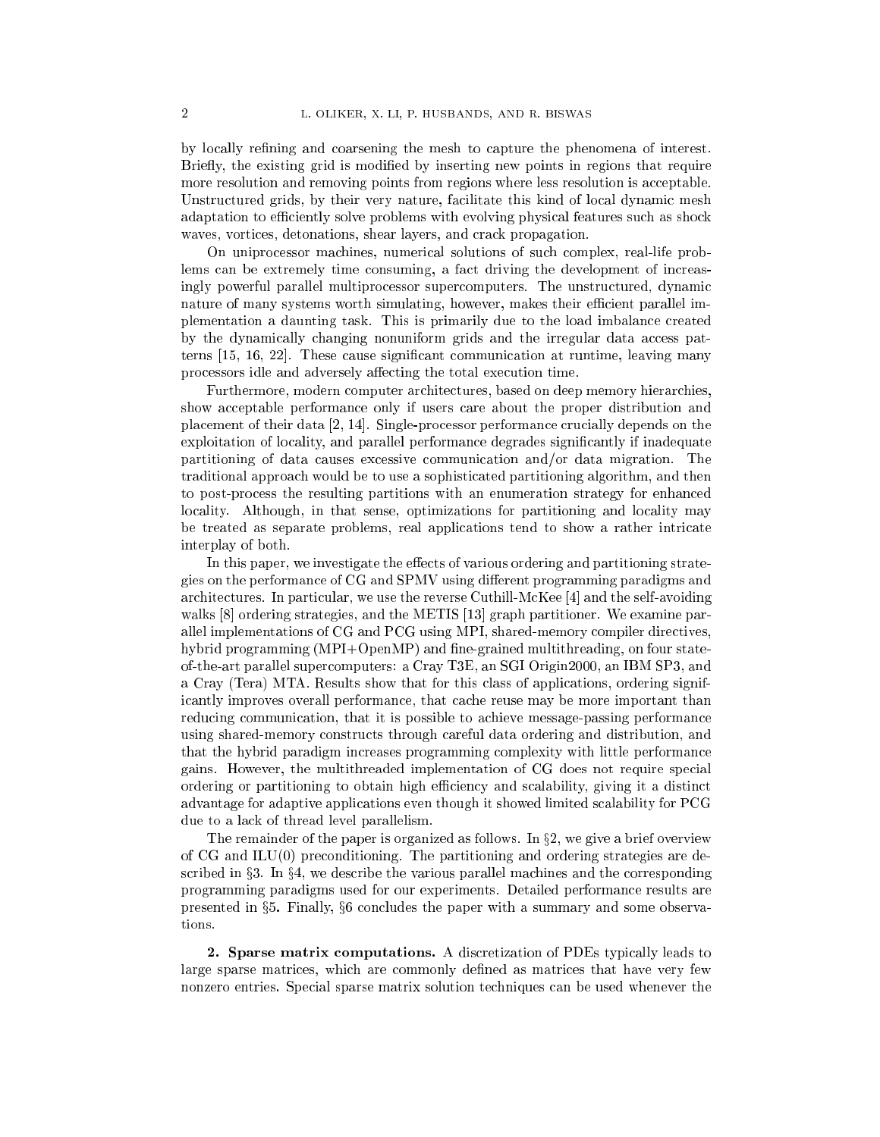by locally refining and coarsening the mesh to capture the phenomena of interest. Briefly, the existing grid is modified by inserting new points in regions that require more resolution and removing points from regions where less resolution is acceptable. Unstructured grids, by their very nature, facilitate this kind of local dynamic mesh adaptation to efficiently solve problems with evolving physical features such as shock waves, vortices, detonations, shear layers, and crack propagation.

On uniprocessor machines, numerical solutions of such complex, real-life problems can be extremely time consuming, a fact driving the development of increasingly powerful parallel multiprocessor supercomputers. The unstructured, dynamic nature of many systems worth simulating, however, makes their efficient parallel implementation a daunting task. This is primarily due to the load imbalance created by the dynamically changing nonuniform grids and the irregular data access patterns [15, 16, 22]. These cause signicant communication at runtime, leaving many processors idle and adversely affecting the total execution time.

Furthermore, modern computer architectures, based on deep memory hierarchies, show acceptable performance only if users care about the proper distribution and placement of their data [2, 14]. Single-processor performance crucially depends on the exploitation of locality, and parallel performance degrades signicantly if inadequate partitioning of data causes excessive communication and/or data migration. The traditional approach would be to use a sophisticated partitioning algorithm, and then to post-process the resulting partitions with an enumeration strategy for enhanced locality. Although, in that sense, optimizations for partitioning and locality may be treated as separate problems, real applications tend to show a rather intricate interplay of both.

In this paper, we investigate the effects of various ordering and partitioning strategies on the performance of CG and SPMV using dierent programming paradigms and architectures. In particular, we use the reverse Cuthill-McKee [4] and the self-avoiding walks [8] ordering strategies, and the METIS [13] graph partitioner. We examine parallel implementations of CG and PCG using MPI, shared-memory compiler directives, hybrid programming (MPI+OpenMP) and fine-grained multithreading, on four stateof-the-art parallel supercomputers: a Cray T3E, an SGI Origin2000, an IBM SP3, and a Cray (Tera) MTA. Results show that for this class of applications, ordering significantly improves overall performance, that cache reuse may be more important than reducing communication, that it is possible to achieve message-passing performance using shared-memory constructs through careful data ordering and distribution, and that the hybrid paradigm increases programming complexity with little performance gains. However, the multithreaded implementation of CG does not require special ordering or partitioning to obtain high efficiency and scalability, giving it a distinct advantage for adaptive applications even though it showed limited scalability for PCG due to a lack of thread level parallelism.

The remainder of the paper is organized as follows. In  $\S 2$ , we give a brief overview of  $CG$  and  $ILU(0)$  preconditioning. The partitioning and ordering strategies are described in  $\S 3$ . In  $\S 4$ , we describe the various parallel machines and the corresponding programming paradigms used for our experiments. Detailed performance results are presented in  $\S5$ . Finally,  $\S6$  concludes the paper with a summary and some observations.

2. Sparse matrix computations. A discretization of PDEs typically leads to large sparse matrices, which are commonly defined as matrices that have very few nonzero entries. Special sparse matrix solution techniques can be used whenever the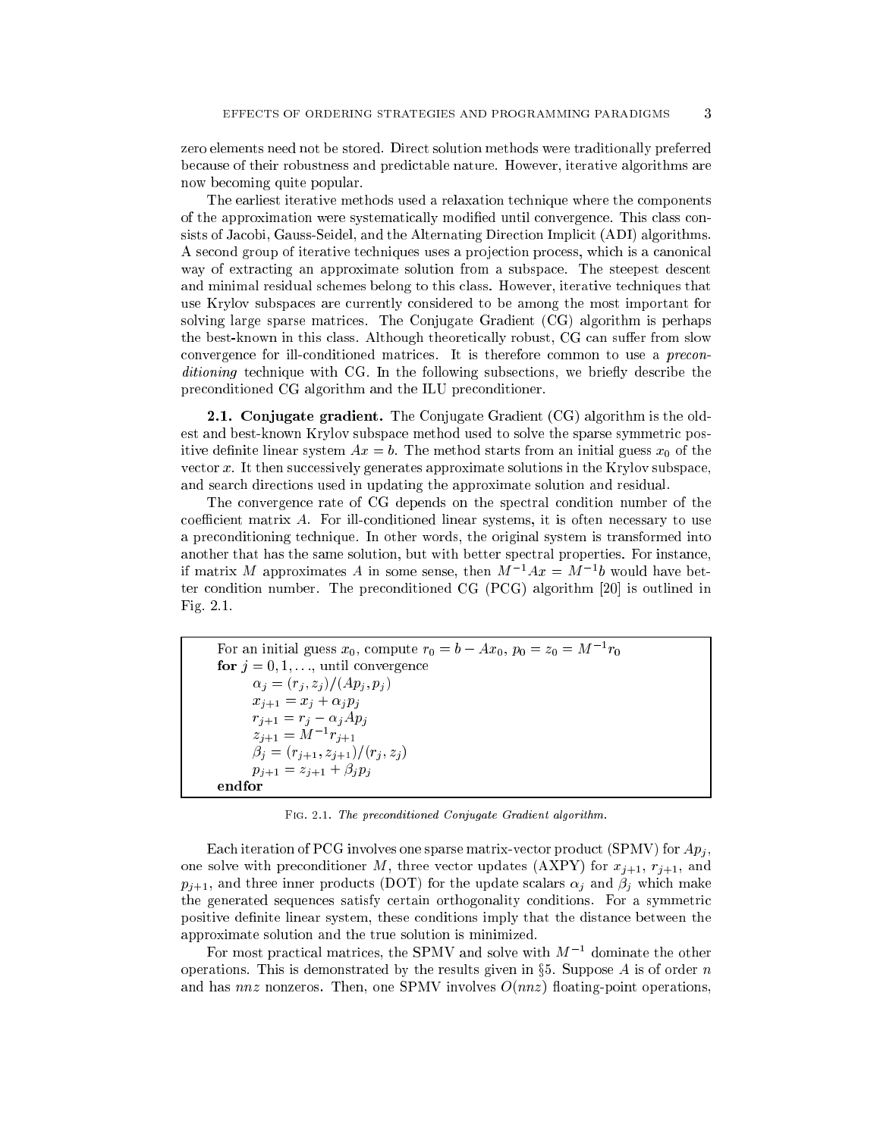zero elements need not be stored. Direct solution methods were traditionally preferred because of their robustness and predictable nature. However, iterative algorithms are now becoming quite popular.

The earliest iterative methods used a relaxation technique where the components of the approximation were systematically modied until convergence. This class consists of Jacobi, Gauss-Seidel, and the Alternating Direction Implicit (ADI) algorithms. A second group of iterative techniques uses a projection process, which is a canonical way of extracting an approximate solution from a subspace. The steepest descent and minimal residual schemes belong to this class. However, iterative techniques that use Krylov subspaces are currently considered to be among the most important for solving large sparse matrices. The Conjugate Gradient (CG) algorithm is perhaps the best-known in this class. Although theoretically robust, CG can suffer from slow convergence for ill-conditioned matrices. It is therefore common to use a preconditioning technique with CG. In the following subsections, we briefly describe the preconditioned CG algorithm and the ILU preconditioner.

2.1. Conjugate gradient. The Conjugate Gradient (CG) algorithm is the oldest and best-known Krylov subspace method used to solve the sparse symmetric positive definite linear system  $Ax = b$ . The method starts from an initial guess  $x_0$  of the vector  $x$ . It then successively generates approximate solutions in the Krylov subspace, and search directions used in updating the approximate solution and residual.

The convergence rate of CG depends on the spectral condition number of the coefficient matrix  $A$ . For ill-conditioned linear systems, it is often necessary to use a preconditioning technique. In other words, the original system is transformed into another that has the same solution, but with better spectral properties. For instance, if matrix M approximates A in some sense, then  $M^{-1}Ax = M^{-1}b$  would have better condition number. The preconditioned CG (PCG) algorithm [20] is outlined in Fig. 2.1.

For an initial guess  $x_0$ , compute  $r_0 = b - Ax_0$ ,  $p_0 = z_0 = M^{-1}r_0$ for  $j = 0, 1, \ldots$ , until convergence  $\alpha_j = (r_j, z_j)/(Ap_j, p_j)$  $x_{j+1} = x_j + \alpha_j p_j$  $r_{j+1} = r_j - \alpha_j Ap_j$  $z_{j+1} = M^{-1}r_{j+1}$  $\check{\beta_j} = (r_{j+1}, z_{j+1})/(r_j, z_j)$  $p_{j+1} = z_{j+1} + \beta_j p_j$ endfor

Fig. 2.1. The preconditioned Conjugate Gradient algorithm.

Each iteration of PCG involves one sparse matrix-vector product (SPMV) for  $Ap_i$ , one solve with preconditioner M, three vector updates (AXPY) for  $x_{j+1}$ ,  $r_{j+1}$ , and  $p_{j+1}$ , and three inner products (DOT) for the update scalars  $\alpha_j$  and  $\beta_j$  which make the generated sequences satisfy certain orthogonality conditions. For a symmetric positive definite linear system, these conditions imply that the distance between the approximate solution and the true solution is minimized.

For most practical matrices, the SPMV and solve with  $M^{-1}$  dominate the other operations. This is demonstrated by the results given in  $\S5$ . Suppose A is of order n and has  $nnz$  nonzeros. Then, one SPMV involves  $O(nnz)$  floating-point operations,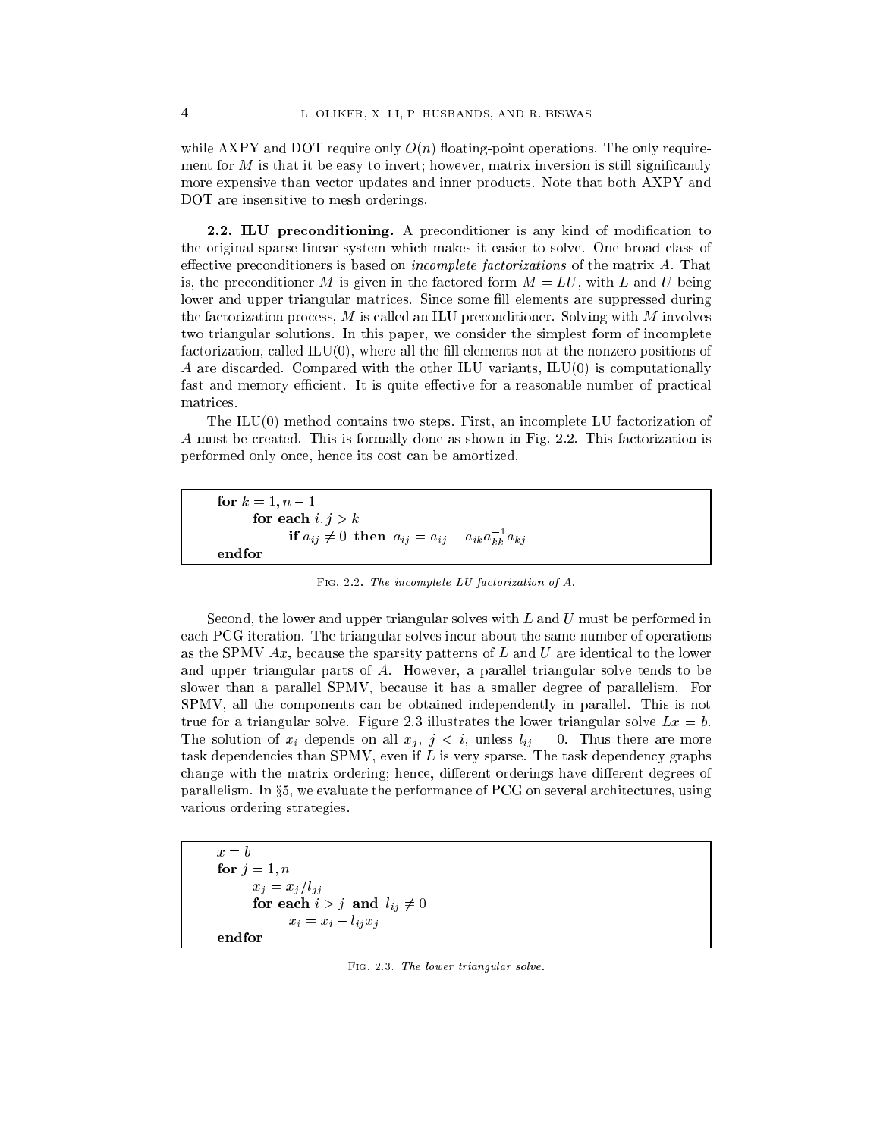while AXPY and DOT require only  $O(n)$  floating-point operations. The only requirement for  $M$  is that it be easy to invert; however, matrix inversion is still significantly more expensive than vector updates and inner products. Note that both AXPY and DOT are insensitive to mesh orderings.

2.2. ILU preconditioning. A preconditioner is any kind of modification to the original sparse linear system which makes it easier to solve. One broad class of effective preconditioners is based on *incomplete factorizations* of the matrix  $A$ . That is, the preconditioner M is given in the factored form  $M = LU$ , with L and U being lower and upper triangular matrices. Since some fill elements are suppressed during the factorization process,  $M$  is called an ILU preconditioner. Solving with  $M$  involves two triangular solutions. In this paper, we consider the simplest form of incomplete factorization, called  $ILU(0)$ , where all the fill elements not at the nonzero positions of A are discarded. Compared with the other ILU variants, ILU(0) is computationally fast and memory efficient. It is quite effective for a reasonable number of practical matrices.

The  $ILU(0)$  method contains two steps. First, an incomplete LU factorization of A must be created. This is formally done as shown in Fig. 2.2. This factorization is performed only once, hence its cost can be amortized.

for  $k = 1, n - 1$ for each  $i, j > k$ if  $a_{ij} \neq 0$  then  $a_{ij} = a_{ij} - a_{ik}a_{kk}^{-1}a_{kj}$ endfor

Fig. 2.2. The incomplete LU factorization of A.

Second, the lower and upper triangular solves with  $L$  and  $U$  must be performed in each PCG iteration. The triangular solves incur about the same number of operations as the SPMV  $Ax$ , because the sparsity patterns of  $L$  and  $U$  are identical to the lower and upper triangular parts of A. However, a parallel triangular solve tends to be slower than a parallel SPMV, because it has a smaller degree of parallelism. For SPMV, all the components can be obtained independently in parallel. This is not true for a triangular solve. Figure 2.3 illustrates the lower triangular solve  $Lx = b$ . The solution of  $x_i$  depends on all  $x_j$ ,  $j < i$ , unless  $l_{ij} = 0$ . Thus there are more task dependencies than SPMV, even if  $L$  is very sparse. The task dependency graphs change with the matrix ordering; hence, different orderings have different degrees of parallelism. In  $\S5$ , we evaluate the performance of PCG on several architectures, using various ordering strategies.

 $x = b$ for  $j = 1, n$  $x_j = x_j/l_{jj}$ for each  $i > j$  and  $l_{ij} \neq 0$  $x_i = x_i - l_{ij} x_j$ 

Fig. 2.3. The lower triangular solve.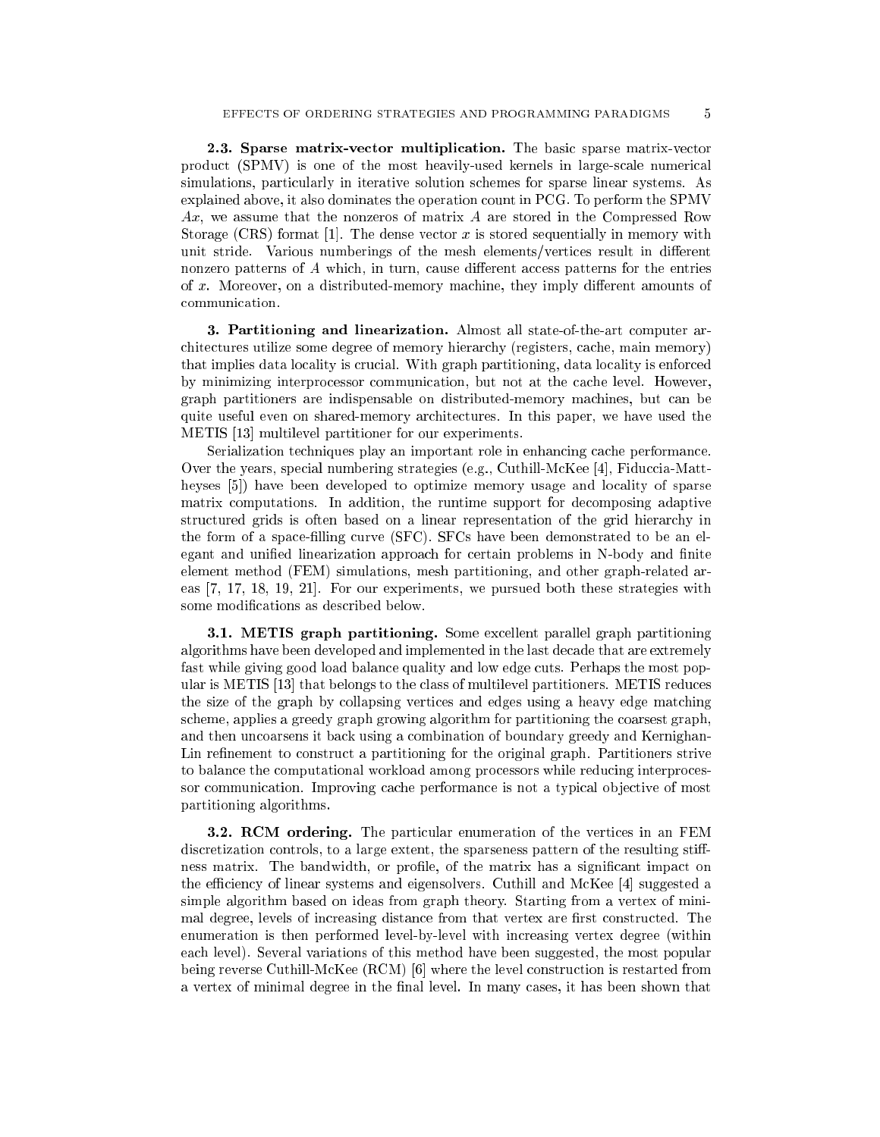2.3. Sparse matrix-vector multiplication. The basic sparse matrix-vector product (SPMV) is one of the most heavily-used kernels in large-scale numerical simulations, particularly in iterative solution schemes for sparse linear systems. As explained above, it also dominates the operation count in PCG. To perform the SPMV Ax, we assume that the nonzeros of matrix A are stored in the Compressed Row Storage (CRS) format [1]. The dense vector x is stored sequentially in memory with unit stride. Various numberings of the mesh elements/vertices result in different nonzero patterns of  $A$  which, in turn, cause different access patterns for the entries of  $x$ . Moreover, on a distributed-memory machine, they imply different amounts of communication.

3. Partitioning and linearization. Almost all state-of-the-art computer architectures utilize some degree of memory hierarchy (registers, cache, main memory) that implies data locality is crucial. With graph partitioning, data locality is enforced by minimizing interprocessor communication, but not at the cache level. However, graph partitioners are indispensable on distributed-memory machines, but can be quite useful even on shared-memory architectures. In this paper, we have used the METIS [13] multilevel partitioner for our experiments.

Serialization techniques play an important role in enhancing cache performance. Over the years, special numbering strategies (e.g., Cuthill-McKee [4], Fiduccia-Mattheyses [5]) have been developed to optimize memory usage and locality of sparse matrix computations. In addition, the runtime support for decomposing adaptive structured grids is often based on a linear representation of the grid hierarchy in the form of a space-lling curve (SFC). SFCs have been demonstrated to be an elegant and unified linearization approach for certain problems in N-body and finite element method (FEM) simulations, mesh partitioning, and other graph-related areas [7, 17, 18, 19, 21]. For our experiments, we pursued both these strategies with some modications as described below.

**3.1. METIS graph partitioning.** Some excellent parallel graph partitioning algorithms have been developed and implemented in the last decade that are extremely fast while giving good load balance quality and low edge cuts. Perhaps the most popular is METIS [13] that belongs to the class of multilevel partitioners. METIS reduces the size of the graph by collapsing vertices and edges using a heavy edge matching scheme, applies a greedy graph growing algorithm for partitioning the coarsest graph, and then uncoarsens it back using a combination of boundary greedy and Kernighan-Lin refinement to construct a partitioning for the original graph. Partitioners strive to balance the computational workload among processors while reducing interprocessor communication. Improving cache performance is not a typical objective of most partitioning algorithms.

**3.2. RCM ordering.** The particular enumeration of the vertices in an FEM discretization controls, to a large extent, the sparseness pattern of the resulting stiffness matrix. The bandwidth, or prole, of the matrix has a signicant impact on the efficiency of linear systems and eigensolvers. Cuthill and McKee  $[4]$  suggested a simple algorithm based on ideas from graph theory. Starting from a vertex of minimal degree, levels of increasing distance from that vertex are first constructed. The enumeration is then performed level-by-level with increasing vertex degree (within each level). Several variations of this method have been suggested, the most popular being reverse Cuthill-McKee (RCM) [6] where the level construction is restarted from a vertex of minimal degree in the final level. In many cases, it has been shown that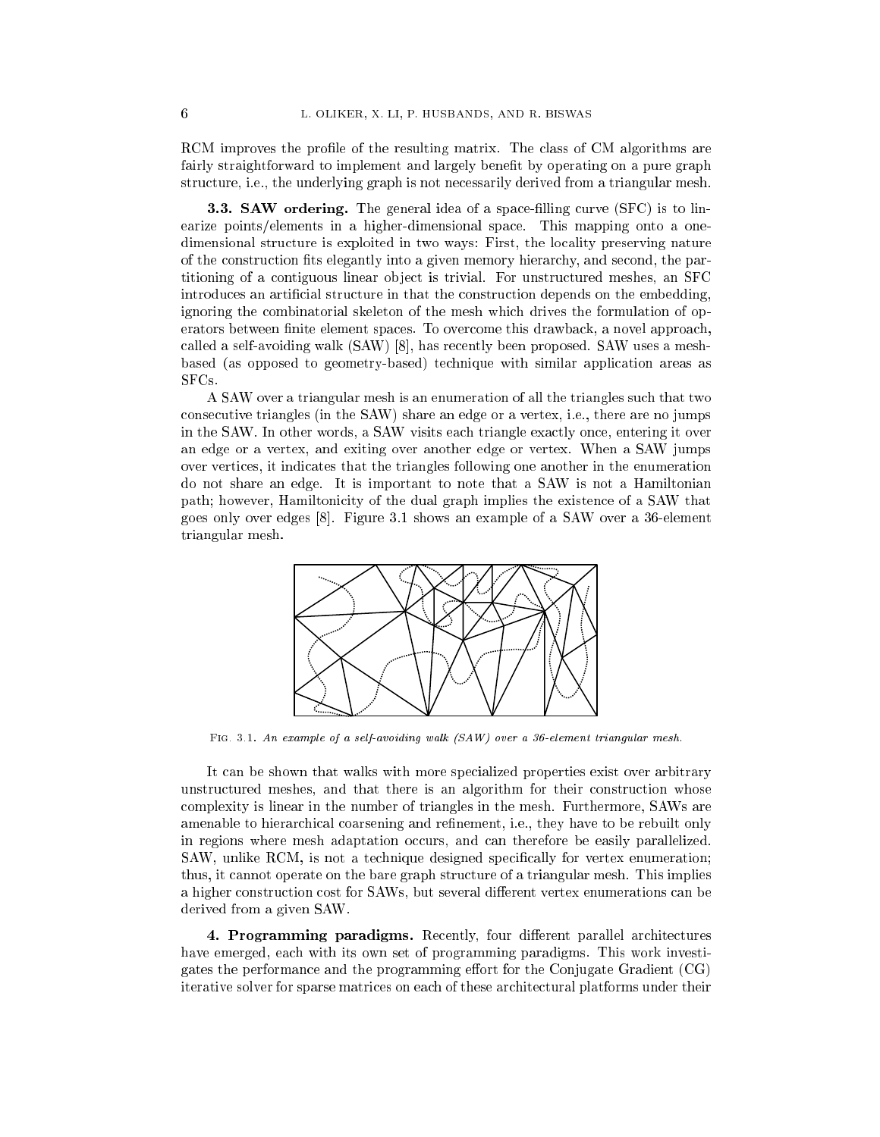RCM improves the profile of the resulting matrix. The class of CM algorithms are fairly straightforward to implement and largely benefit by operating on a pure graph structure, i.e., the underlying graph is not necessarily derived from a triangular mesh.

**3.3. SAW ordering.** The general idea of a space-filling curve  $(SFC)$  is to linearize points/elements in a higher-dimensional space. This mapping onto a onedimensional structure is exploited in two ways: First, the locality preserving nature of the construction fits elegantly into a given memory hierarchy, and second, the partitioning of a contiguous linear ob ject is trivial. For unstructured meshes, an SFC introduces an articial structure in that the construction depends on the embedding, ignoring the combinatorial skeleton of the mesh which drives the formulation of operators between finite element spaces. To overcome this drawback, a novel approach, called a self-avoiding walk (SAW) [8], has recently been proposed. SAW uses a meshbased (as opposed to geometry-based) technique with similar application areas as SFCs.

A SAW over a triangular mesh is an enumeration of all the triangles such that two consecutive triangles (in the SAW) share an edge or a vertex, i.e., there are no jumps in the SAW. In other words, a SAW visits each triangle exactly once, entering it over an edge or a vertex, and exiting over another edge or vertex. When a SAW jumps over vertices, it indicates that the triangles following one another in the enumeration do not share an edge. It is important to note that a SAW is not a Hamiltonian path; however, Hamiltonicity of the dual graph implies the existence of a SAW that goes only over edges [8]. Figure 3.1 shows an example of a SAW over a 36-element triangular mesh.



Fig. 3.1. An example of a self-avoiding walk (SAW) over a 36-element triangular mesh.

It can be shown that walks with more specialized properties exist over arbitrary unstructured meshes, and that there is an algorithm for their construction whose complexity is linear in the number of triangles in the mesh. Furthermore, SAWs are amenable to hierarchical coarsening and refinement, i.e., they have to be rebuilt only in regions where mesh adaptation occurs, and can therefore be easily parallelized. SAW, unlike RCM, is not a technique designed specifically for vertex enumeration; thus, it cannot operate on the bare graph structure of a triangular mesh. This implies a higher construction cost for SAWs, but several different vertex enumerations can be derived from a given SAW.

4. Programming paradigms. Recently, four different parallel architectures have emerged, each with its own set of programming paradigms. This work investigates the performance and the programming effort for the Conjugate Gradient  $(CG)$ iterative solver for sparse matrices on each of these architectural platforms under their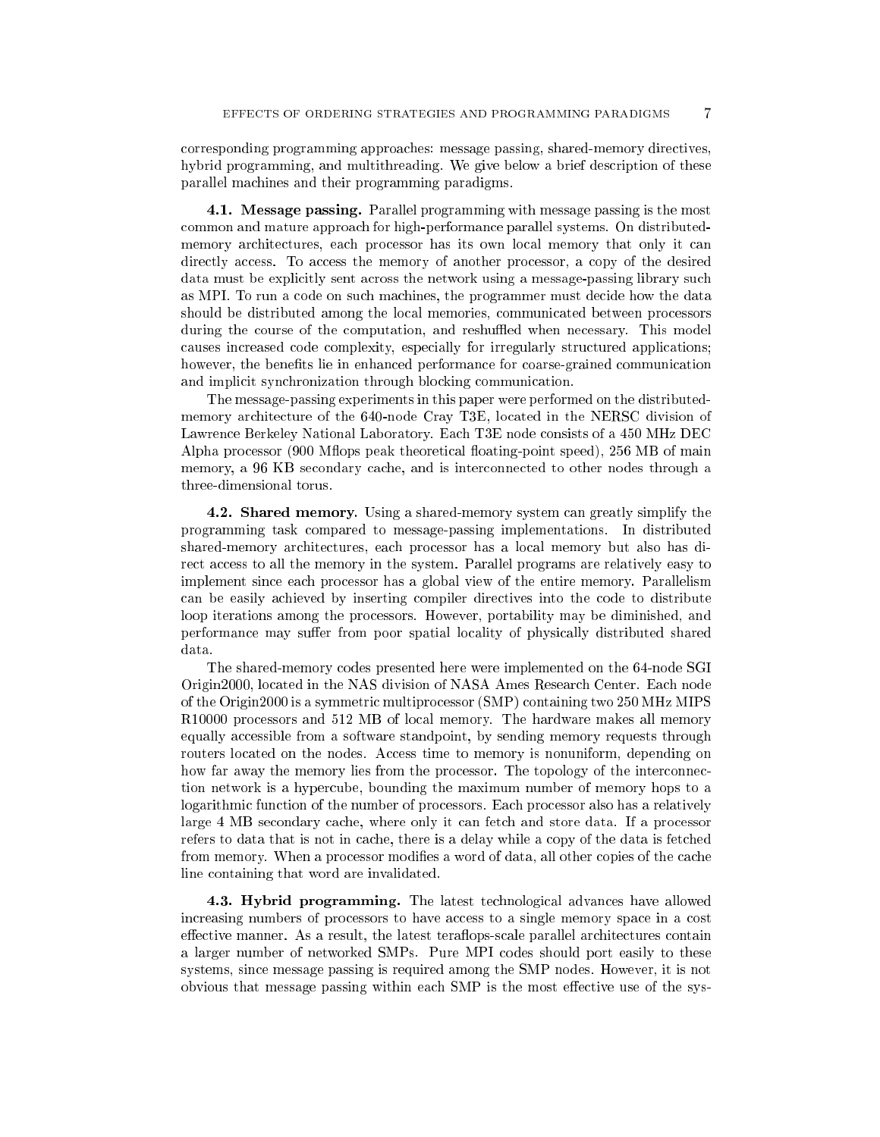corresponding programming approaches: message passing, shared-memory directives, hybrid programming, and multithreading. We give below a brief description of these parallel machines and their programming paradigms.

4.1. Message passing. Parallel programming with message passing is the most common and mature approach for high-performance parallel systems. On distributedmemory architectures, each processor has its own local memory that only it can directly access. To access the memory of another processor, a copy of the desired data must be explicitly sent across the network using a message-passing library such as MPI. To run a code on such machines, the programmer must decide how the data should be distributed among the local memories, communicated between processors during the course of the computation, and reshuffled when necessary. This model causes increased code complexity, especially for irregularly structured applications; however, the benefits lie in enhanced performance for coarse-grained communication and implicit synchronization through blocking communication.

The message-passing experiments in this paper were performed on the distributedmemory architecture of the 640-node Cray T3E, located in the NERSC division of Lawrence Berkeley National Laboratory. Each T3E node consists of a 450 MHz DEC Alpha processor (900 Mflops peak theoretical floating-point speed), 256 MB of main memory, a 96 KB secondary cache, and is interconnected to other nodes through a three-dimensional torus.

4.2. Shared memory. Using a shared-memory system can greatly simplify the programming task compared to message-passing implementations. In distributed shared-memory architectures, each processor has a local memory but also has direct access to all the memory in the system. Parallel programs are relatively easy to implement since each processor has a global view of the entire memory. Parallelism can be easily achieved by inserting compiler directives into the code to distribute loop iterations among the processors. However, portability may be diminished, and performance may suffer from poor spatial locality of physically distributed shared data.

The shared-memory codes presented here were implemented on the 64-node SGI Origin2000, located in the NAS division of NASA Ames Research Center. Each node of the Origin2000 is a symmetric multiprocessor (SMP) containing two 250 MHz MIPS R10000 processors and 512 MB of local memory. The hardware makes all memory equally accessible from a software standpoint, by sending memory requests through routers located on the nodes. Access time to memory is nonuniform, depending on how far away the memory lies from the processor. The topology of the interconnection network is a hypercube, bounding the maximum number of memory hops to a logarithmic function of the number of processors. Each processor also has a relatively large 4 MB secondary cache, where only it can fetch and store data. If a processor refers to data that is not in cache, there is a delay while a copy of the data is fetched from memory. When a processor modifies a word of data, all other copies of the cache line containing that word are invalidated.

4.3. Hybrid programming. The latest technological advances have allowed increasing numbers of processors to have access to a single memory space in a cost effective manner. As a result, the latest teraflops-scale parallel architectures contain a larger number of networked SMPs. Pure MPI codes should port easily to these systems, since message passing is required among the SMP nodes. However, it is not obvious that message passing within each SMP is the most effective use of the sys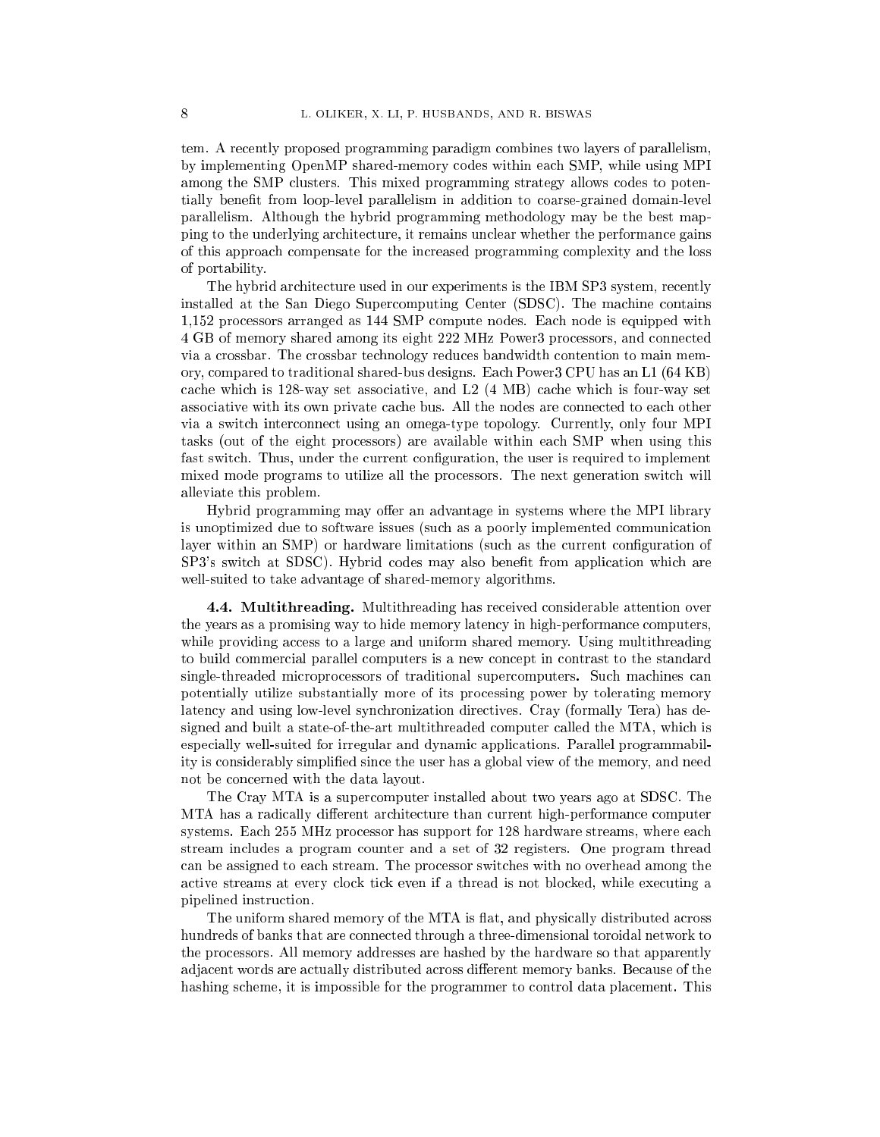tem. A recently proposed programming paradigm combines two layers of parallelism, by implementing OpenMP shared-memory codes within each SMP, while using MPI among the SMP clusters. This mixed programming strategy allows codes to potentially benefit from loop-level parallelism in addition to coarse-grained domain-level parallelism. Although the hybrid programming methodology may be the best mapping to the underlying architecture, it remains unclear whether the performance gains of this approach compensate for the increased programming complexity and the loss of portability.

The hybrid architecture used in our experiments is the IBM SP3 system, recently installed at the San Diego Supercomputing Center (SDSC). The machine contains 1,152 processors arranged as 144 SMP compute nodes. Each node is equipped with 4 GB of memory shared among its eight 222 MHz Power3 processors, and connected via a crossbar. The crossbar technology reduces bandwidth contention to main memory, compared to traditional shared-bus designs. Each Power3 CPU has an L1 (64 KB) cache which is 128-way set associative, and L2 (4 MB) cache which is four-way set associative with its own private cache bus. All the nodes are connected to each other via a switch interconnect using an omega-type topology. Currently, only four MPI tasks (out of the eight processors) are available within each SMP when using this fast switch. Thus, under the current conguration, the user is required to implement mixed mode programs to utilize all the processors. The next generation switch will alleviate this problem.

Hybrid programming may offer an advantage in systems where the MPI library is unoptimized due to software issues (such as a poorly implemented communication layer within an SMP) or hardware limitations (such as the current configuration of SP3's switch at SDSC). Hybrid codes may also benet from application which are well-suited to take advantage of shared-memory algorithms.

4.4. Multithreading. Multithreading has received considerable attention over the years as a promising way to hide memory latency in high-performance computers, while providing access to a large and uniform shared memory. Using multithreading to build commercial parallel computers is a new concept in contrast to the standard single-threaded microprocessors of traditional supercomputers. Such machines can potentially utilize substantially more of its processing power by tolerating memory latency and using low-level synchronization directives. Cray (formally Tera) has designed and built a state-of-the-art multithreaded computer called the MTA, which is especially well-suited for irregular and dynamic applications. Parallel programmability is considerably simplied since the user has a global view of the memory, and need not be concerned with the data layout.

The Cray MTA is a supercomputer installed about two years ago at SDSC. The MTA has a radically different architecture than current high-performance computer systems. Each 255 MHz processor has support for 128 hardware streams, where each stream includes a program counter and a set of 32 registers. One program thread can be assigned to each stream. The processor switches with no overhead among the active streams at every clock tick even if a thread is not blocked, while executing a pipelined instruction.

The uniform shared memory of the MTA is flat, and physically distributed across hundreds of banks that are connected through a three-dimensional toroidal network to the processors. All memory addresses are hashed by the hardware so that apparently adjacent words are actually distributed across different memory banks. Because of the hashing scheme, it is impossible for the programmer to control data placement. This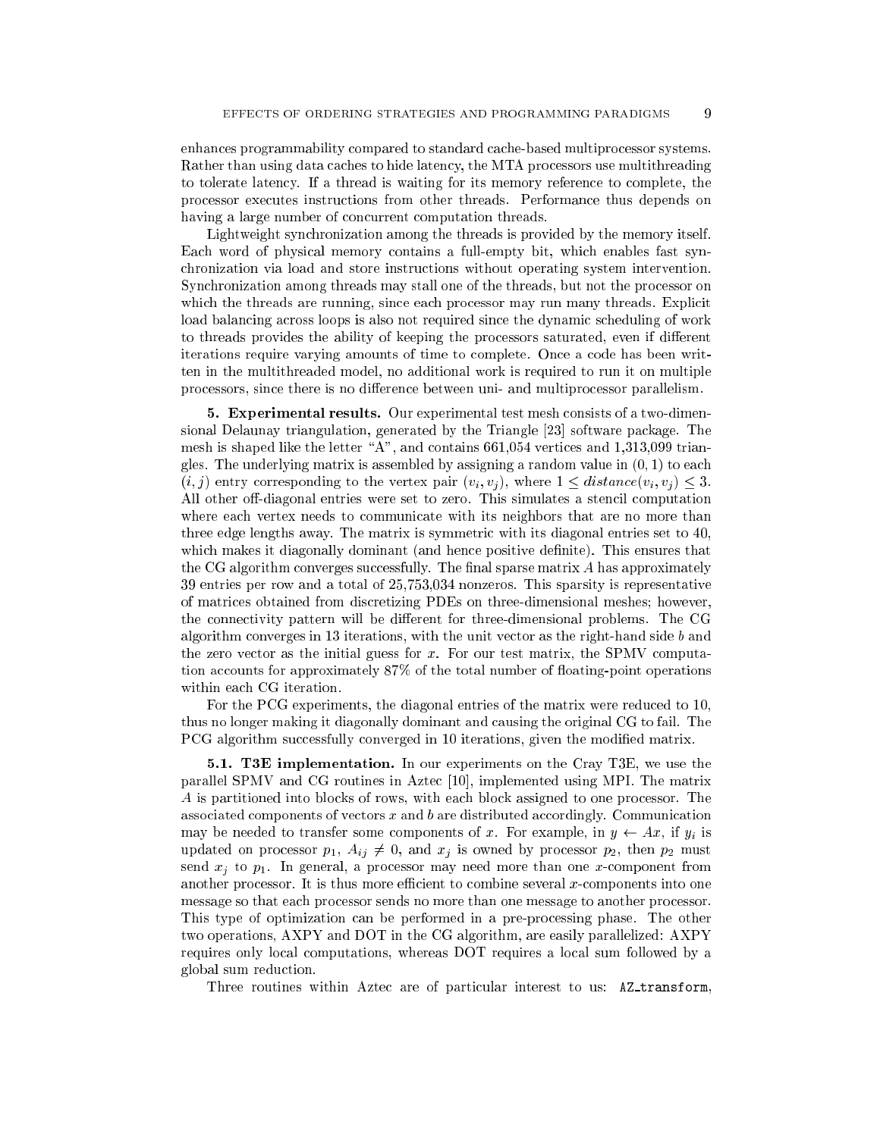enhances programmability compared to standard cache-based multiprocessor systems. Rather than using data caches to hide latency, the MTA processors use multithreading to tolerate latency. If a thread is waiting for its memory reference to complete, the processor executes instructions from other threads. Performance thus depends on having a large number of concurrent computation threads.

Lightweight synchronization among the threads is provided by the memory itself. Each word of physical memory contains a full-empty bit, which enables fast synchronization via load and store instructions without operating system intervention. Synchronization among threads may stall one of the threads, but not the processor on which the threads are running, since each processor may run many threads. Explicit load balancing across loops is also not required since the dynamic scheduling of work to threads provides the ability of keeping the processors saturated, even if different iterations require varying amounts of time to complete. Once a code has been written in the multithreaded model, no additional work is required to run it on multiple processors, since there is no difference between uni- and multiprocessor parallelism.

5. Experimental results. Our experimental test mesh consists of a two-dimensional Delaunay triangulation, generated by the Triangle [23] software package. The mesh is shaped like the letter "A", and contains  $661,054$  vertices and 1,313,099 triangles. The underlying matrix is assembled by assigning a random value in  $(0, 1)$  to each  $(i, j)$  entry corresponding to the vertex pair  $(v_i, v_j)$ , where  $1 \leq distance(v_i, v_j) \leq 3$ . All other off-diagonal entries were set to zero. This simulates a stencil computation where each vertex needs to communicate with its neighbors that are no more than three edge lengths away. The matrix is symmetric with its diagonal entries set to 40, which makes it diagonally dominant (and hence positive definite). This ensures that the CG algorithm converges successfully. The final sparse matrix  $A$  has approximately 39 entries per row and a total of 25,753,034 nonzeros. This sparsity is representative of matrices obtained from discretizing PDEs on three-dimensional meshes; however, the connectivity pattern will be different for three-dimensional problems. The CG algorithm converges in 13 iterations, with the unit vector as the right-hand side  $b$  and the zero vector as the initial guess for  $x$ . For our test matrix, the SPMV computation accounts for approximately 87% of the total number of floating-point operations within each CG iteration.

For the PCG experiments, the diagonal entries of the matrix were reduced to 10, thus no longer making it diagonally dominant and causing the original CG to fail. The PCG algorithm successfully converged in 10 iterations, given the modified matrix.

5.1. T3E implementation. In our experiments on the Cray T3E, we use the parallel SPMV and CG routines in Aztec [10], implemented using MPI. The matrix A is partitioned into blocks of rows, with each block assigned to one processor. The associated components of vectors <sup>x</sup> and b are distributed accordingly. Communication may be needed to transfer some components of x. For example, in  $y \leftarrow Ax$ , if  $y_i$  is updated on processor  $p_1$ ,  $A_{ij} \neq 0$ , and  $x_j$  is owned by processor  $p_2$ , then  $p_2$  must send  $x_j$  to  $p_1$ . In general, a processor may need more than one x-component from another processor. It is thus more efficient to combine several  $x$ -components into one message so that each processor sends no more than one message to another processor. This type of optimization can be performed in a pre-processing phase. The other two operations, AXPY and DOT in the CG algorithm, are easily parallelized: AXPY requires only local computations, whereas DOT requires a local sum followed by a global sum reduction.

Three routines within Aztec are of particular interest to us: AZ\_transform,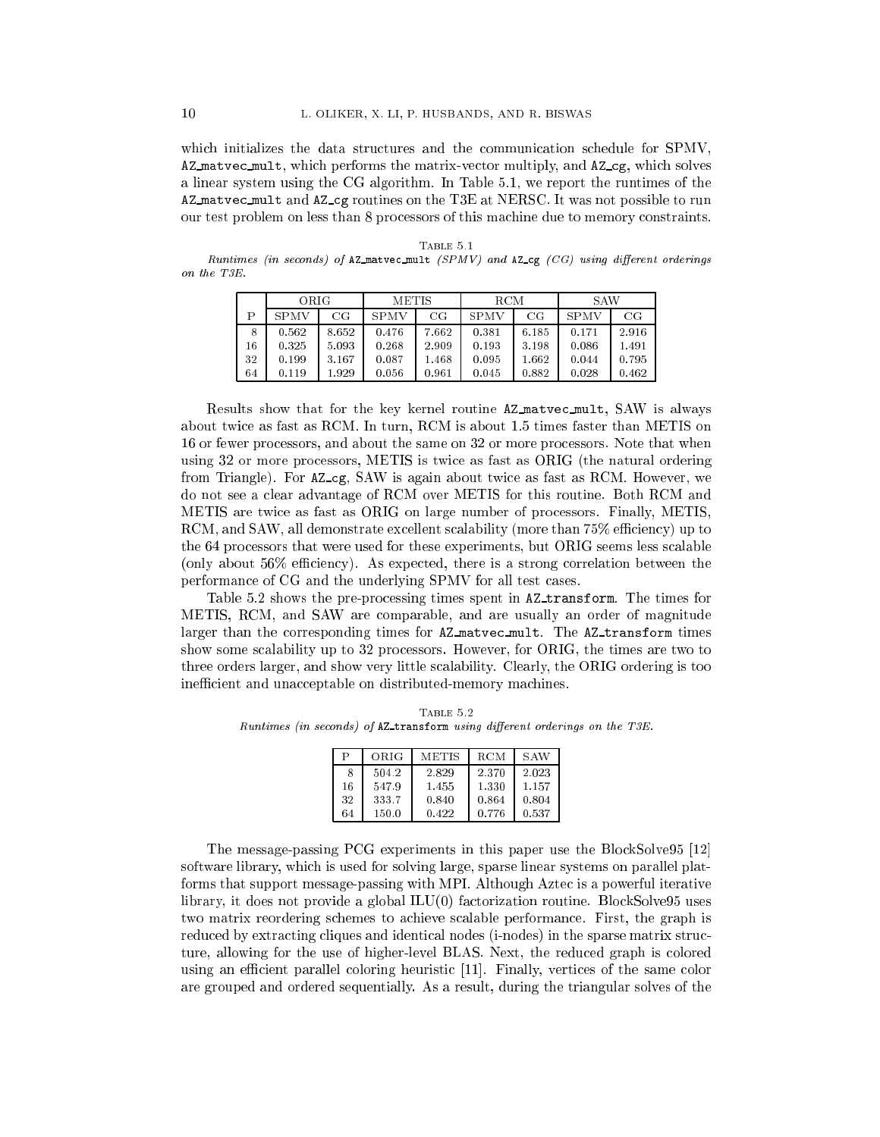which initializes the data structures and the communication schedule for SPMV, AZ matvec mult, which performs the matrix-vector multiply, and AZ cg, which solves a linear system using the CG algorithm. In Table 5.1, we report the runtimes of the AZ matvec mult and AZ cg routines on the T3E at NERSC. It was not possible to run our test problem on less than 8 processors of this machine due to memory constraints.

Table 5.1

Runtimes (in seconds) of  $AZ$  matvec mult (SPMV) and  $AZ$  cg (CG) using different orderings on the T3E.

|    | O R.IG         |             | <b>METIS</b>               |       | RCM            |       | S AW           |       |  |
|----|----------------|-------------|----------------------------|-------|----------------|-------|----------------|-------|--|
| Ρ  | <b>SPMV</b>    | $_{\rm CG}$ | <b>SPMV</b><br>$_{\rm CG}$ |       | SPMV           | CG    | <b>SPMV</b>    | CG    |  |
| 8  | 0.562          | 8.652       | 0.476                      | 7.662 | 0.381          | 6.185 | 0.171          | 2.916 |  |
| 16 | 0.325          | 5.093       | 0.268                      | 2.909 | 0.193          | 3.198 | 0.086          | 1.491 |  |
| 32 | 0.199          | 3.167       | 0.087                      | 1.468 | 0.095          | 1.662 | 0.044          | 0.795 |  |
| 64 | 0.119<br>1.929 |             | 0.056<br>0.961             |       | 0.882<br>0.045 |       | 0.028<br>0.462 |       |  |

Results show that for the key kernel routine AZ matvec mult, SAW is always about twice as fast as RCM. In turn, RCM is about 1.5 times faster than METIS on 16 or fewer processors, and about the same on 32 or more processors. Note that when using 32 or more processors, METIS is twice as fast as ORIG (the natural ordering from Triangle). For AZ cg, SAW is again about twice as fast as RCM. However, we do not see a clear advantage of RCM over METIS for this routine. Both RCM and METIS are twice as fast as ORIG on large number of processors. Finally, METIS, RCM, and SAW, all demonstrate excellent scalability (more than  $75\%$  efficiency) up to the 64 processors that were used for these experiments, but ORIG seems less scalable (only about  $56\%$  efficiency). As expected, there is a strong correlation between the performance of CG and the underlying SPMV for all test cases.

Table 5.2 shows the pre-processing times spent in AZ transform. The times for METIS, RCM, and SAW are comparable, and are usually an order of magnitude larger than the corresponding times for AZ matvec mult. The AZ transform times show some scalability up to 32 processors. However, for ORIG, the times are two to three orders larger, and show very little scalability. Clearly, the ORIG ordering is too inefficient and unacceptable on distributed-memory machines.

TABLE  $5.2$ Runtimes (in seconds) of AZ\_transform using different orderings on the T3E.

| P  | ORIG  | METIS | <b>RCM</b> | <b>SAW</b> |
|----|-------|-------|------------|------------|
| 8  | 504.2 | 2.829 | 2.370      | 2.023      |
| 16 | 547.9 | 1.455 | 1.330      | 1.157      |
| 32 | 333.7 | 0.840 | 0.864      | 0.804      |
| 64 | 150.0 | 0.422 | 0.776      | 0.537      |

The message-passing PCG experiments in this paper use the BlockSolve95 [12] software library, which is used for solving large, sparse linear systems on parallel platforms that support message-passing with MPI. Although Aztec is a powerful iterative library, it does not provide a global ILU(0) factorization routine. BlockSolve95 uses two matrix reordering schemes to achieve scalable performance. First, the graph is reduced by extracting cliques and identical nodes (i-nodes) in the sparse matrix structure, allowing for the use of higher-level BLAS. Next, the reduced graph is colored using an efficient parallel coloring heuristic  $[11]$ . Finally, vertices of the same color are grouped and ordered sequentially. As a result, during the triangular solves of the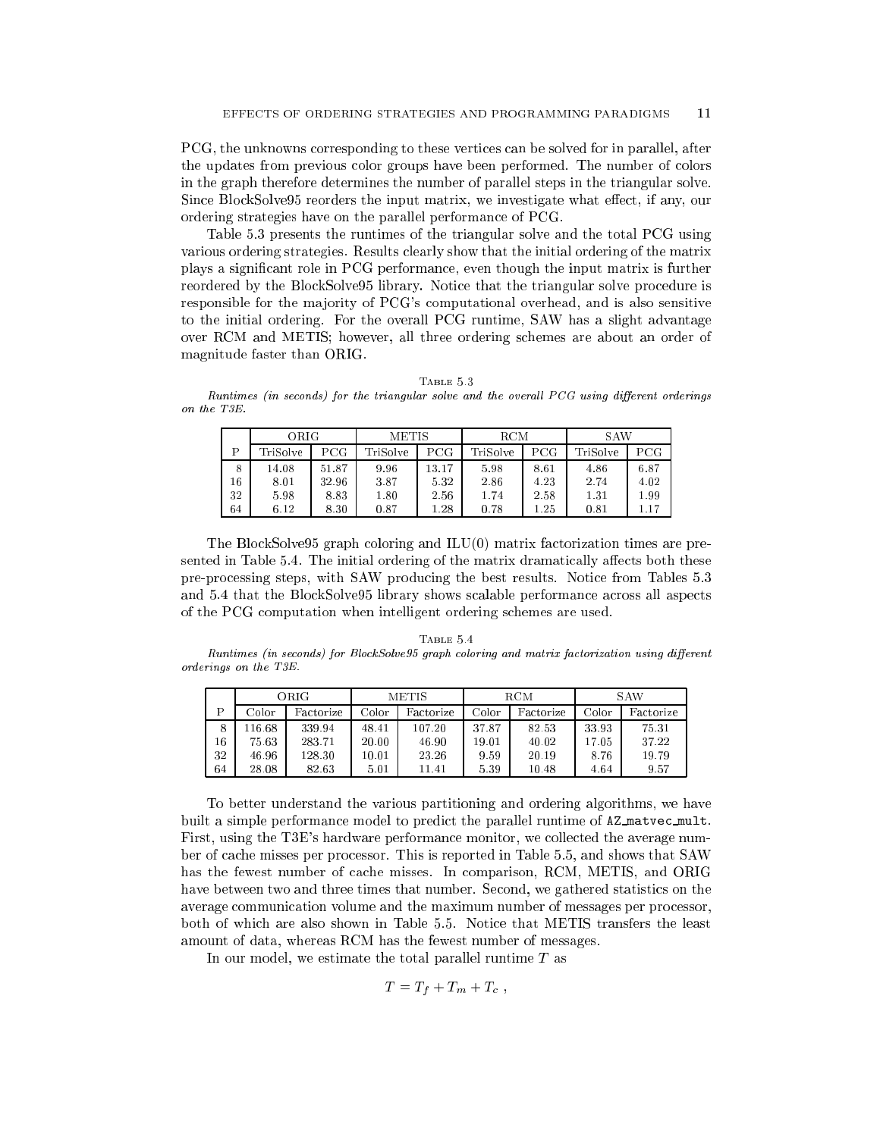PCG, the unknowns corresponding to these vertices can be solved for in parallel, after the updates from previous color groups have been performed. The number of colors in the graph therefore determines the number of parallel steps in the triangular solve. Since BlockSolve95 reorders the input matrix, we investigate what effect, if any, our ordering strategies have on the parallel performance of PCG.

Table 5.3 presents the runtimes of the triangular solve and the total PCG using various ordering strategies. Results clearly show that the initial ordering of the matrix plays a signicant role in PCG performance, even though the input matrix is further reordered by the BlockSolve95 library. Notice that the triangular solve procedure is responsible for the ma jority of PCG's computational overhead, and is also sensitive to the initial ordering. For the overall PCG runtime, SAW has a slight advantage over RCM and METIS; however, all three ordering schemes are about an order of magnitude faster than ORIG.

| BLE<br>Å. |  |  |
|-----------|--|--|
|-----------|--|--|

 $Runtimes$  (in seconds) for the triangular solve and the overall  $PCG$  using different orderings on the T3E.

|    | ORIG     |       | METIS           |       | RCM          |      | S AW     |      |  |
|----|----------|-------|-----------------|-------|--------------|------|----------|------|--|
| D  | TriSolve | PCG   | PCG<br>TriSolve |       | TriSolve     | PCG  | TriSolve | PCG  |  |
| 8  | 14.08    | 51.87 | 9.96            | 13.17 | 5.98         | 8.61 | 4.86     | 6.87 |  |
| 16 | 8.01     | 32.96 | 3.87            | 5.32  | 2.86         | 4.23 | 2.74     | 4.02 |  |
| 32 | 5.98     | 8.83  | 1.80            | 2.56  | 1.74         | 2.58 | 1.31     | 1.99 |  |
| 64 | 6.12     | 8.30  | 0.87<br>1.28    |       | 1.25<br>0.78 |      | 0.81     |      |  |

The BlockSolve95 graph coloring and ILU(0) matrix factorization times are presented in Table 5.4. The initial ordering of the matrix dramatically affects both these pre-processing steps, with SAW producing the best results. Notice from Tables 5.3 and 5.4 that the BlockSolve95 library shows scalable performance across all aspects of the PCG computation when intelligent ordering schemes are used.

## TABLE 5.4 Runtimes (in seconds) for BlockSolve95 graph coloring and matrix factorization using different orderings on the T3E.

|    | ORIG  |           | <b>METIS</b> |           |                    | <b>RCM</b> | S AW  |           |  |
|----|-------|-----------|--------------|-----------|--------------------|------------|-------|-----------|--|
| Þ  | Color | Factorize | Color        | Factorize | Color<br>Factorize |            | Color | Factorize |  |
| 8  | 16.68 | 339.94    | 48.41        | 107.20    | 37.87              | 82.53      | 33.93 | 75.31     |  |
| 16 | 75.63 | 283.71    | 20.00        | 46.90     | 19.01              | 40.02      | 17.05 | 37.22     |  |
| 32 | 46.96 | 128.30    | 10.01        | 23.26     | 9.59               | 20.19      | 8.76  | 19.79     |  |
| 64 | 28.08 | 82.63     | 5.01         | 11.41     | 5.39               | 10.48      | 4.64  | 9.57      |  |

To better understand the various partitioning and ordering algorithms, we have built a simple performance model to predict the parallel runtime of AZ matvec mult. First, using the T3E's hardware performance monitor, we collected the average number of cache misses per processor. This is reported in Table 5.5, and shows that SAW has the fewest number of cache misses. In comparison, RCM, METIS, and ORIG have between two and three times that number. Second, we gathered statistics on the average communication volume and the maximum number of messages per processor, both of which are also shown in Table 5.5. Notice that METIS transfers the least amount of data, whereas RCM has the fewest number of messages.

In our model, we estimate the total parallel runtime T as

$$
T=T_f+T_m+T_c,
$$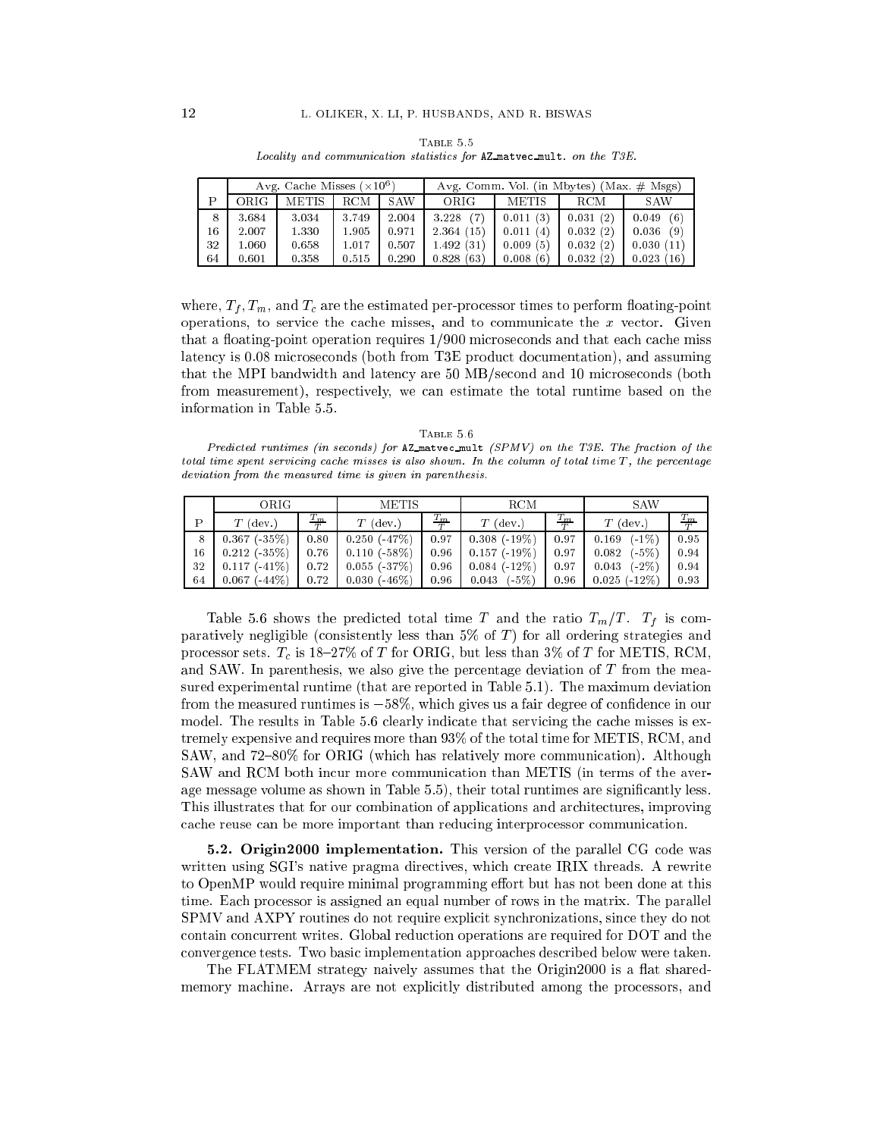|    |                                     | Avg. Cache Misses $(\times 10^6)$ |       |       | Avg. Comm. Vol. (in Mbytes) (Max. $\#$ Msgs) |          |            |               |  |  |
|----|-------------------------------------|-----------------------------------|-------|-------|----------------------------------------------|----------|------------|---------------|--|--|
| D  | ORIG-<br><b>METIS</b><br><b>RCM</b> |                                   | S AW  | ORIG  | <b>METIS</b>                                 |          | <b>SAW</b> |               |  |  |
| 8  | 3.684                               | 3.034                             | 3.749 | 2.004 | 3.228(7)                                     | 0.011(3) | 0.031(2)   | (6)<br>0.049  |  |  |
| 16 | 2.007                               | 1.330                             | 1.905 | 0.971 | 2.364(15)                                    | 0.011(4) | 0.032(2)   | 0.036<br>(9)  |  |  |
| 32 | 1.060                               | 0.658                             | 1.017 | 0.507 | 1.492(31)                                    | 0.009(5) | 0.032(2)   | 0.030(11)     |  |  |
| 64 | 0.601                               | 0.358                             | 0.515 | 0.290 | 0.828(63)                                    | 0.008(6) | 0.032(2)   | 0.023<br>(16) |  |  |

Table 5.5 Locality and communication statistics for AZ matvec mult. on the T3E.

where,  $T_f$ ,  $T_m$ , and  $T_c$  are the estimated per-processor times to perform floating-point operations, to service the cache misses, and to communicate the  $x$  vector. Given that a floating-point operation requires  $1/900$  microseconds and that each cache miss latency is 0.08 microseconds (both from T3E product documentation), and assuming that the MPI bandwidth and latency are 50 MB/second and 10 microseconds (both from measurement), respectively, we can estimate the total runtime based on the information in Table 5.5.

|  | Predicted runtimes (in seconds) for AZ_matvec_mult (SPMV) on the T3E. The fraction of the               |  |  |  |  |
|--|---------------------------------------------------------------------------------------------------------|--|--|--|--|
|  | total time spent servicing cache misses is also shown. In the column of total time $T$ , the percentage |  |  |  |  |
|  | deviation from the measured time is given in parenthesis.                                               |  |  |  |  |

 $T_{ADID}$  $E$  $B$ 

|    | ORIG-               |                         | <b>METIS</b>           |                 | RCM                 |                 | S AW                |                 |  |
|----|---------------------|-------------------------|------------------------|-----------------|---------------------|-----------------|---------------------|-----------------|--|
| D  | $T$ (dev.)          | $T_m$<br>$\overline{ }$ | $(\text{dev.})$<br>T ( | $\frac{T_m}{T}$ | $T$ (dev.)          | $\frac{T_m}{T}$ | (dev.)<br>T         | $\frac{T_m}{T}$ |  |
| 8  | $0.367 (-35%)$      | 0.80                    | $0.250$ ( $-47\%$ )    | 0.97            | $0.308(-19%)$       | 0.97            | $(-1%)$<br>0.169    | 0.95            |  |
| 16 | $0.212$ ( $35\%$ )  | 0.76                    | $0.110 (-58%)$         | 0.96            | $0.157$ ( $-19\%$ ) | 0.97            | (-5%)<br>0.082      | 0.94            |  |
| 32 | $0.117(-41%)$       | 0.72                    | $0.055(-37%)$          | 0.96            | $0.084$ ( $-12\%$ ) | 0.97            | $(.2\%)$<br>0.043   | 0.94            |  |
| 64 | $0.067$ ( $-44\%$ ) | 0.72                    | $0.030$ ( $-46\%$ )    | 0.96            | $(.5\%)$<br>0.043   | 0.96            | $0.025$ ( $-12\%$ ) | 0.93            |  |

Table 5.6 shows the predicted total time T and the ratio  $T_m/T$ .  $T_f$  is comparatively negligible (consistently less than 5% of  $T$ ) for all ordering strategies and processor sets.  $T_c$  is 18-27% of T for ORIG, but less than 3% of T for METIS, RCM, and SAW. In parenthesis, we also give the percentage deviation of T from the measured experimental runtime (that are reported in Table 5.1). The maximum deviation from the measured runtimes is  $-58\%$ , which gives us a fair degree of confidence in our model. The results in Table 5.6 clearly indicate that servicing the cache misses is extremely expensive and requires more than 93% of the total time for METIS, RCM, and SAW, and 72-80% for ORIG (which has relatively more communication). Although SAW and RCM both incur more communication than METIS (in terms of the average message volume as shown in Table 5.5), their total runtimes are significantly less. This illustrates that for our combination of applications and architectures, improving cache reuse can be more important than reducing interprocessor communication.

5.2. Origin2000 implementation. This version of the parallel CG code was written using SGI's native pragma directives, which create IRIX threads. A rewrite to OpenMP would require minimal programming effort but has not been done at this time. Each processor is assigned an equal number of rows in the matrix. The parallel SPMV and AXPY routines do not require explicit synchronizations, since they do not contain concurrent writes. Global reduction operations are required for DOT and the convergence tests. Two basic implementation approaches described below were taken.

The FLATMEM strategy naively assumes that the Origin2000 is a flat sharedmemory machine. Arrays are not explicitly distributed among the processors, and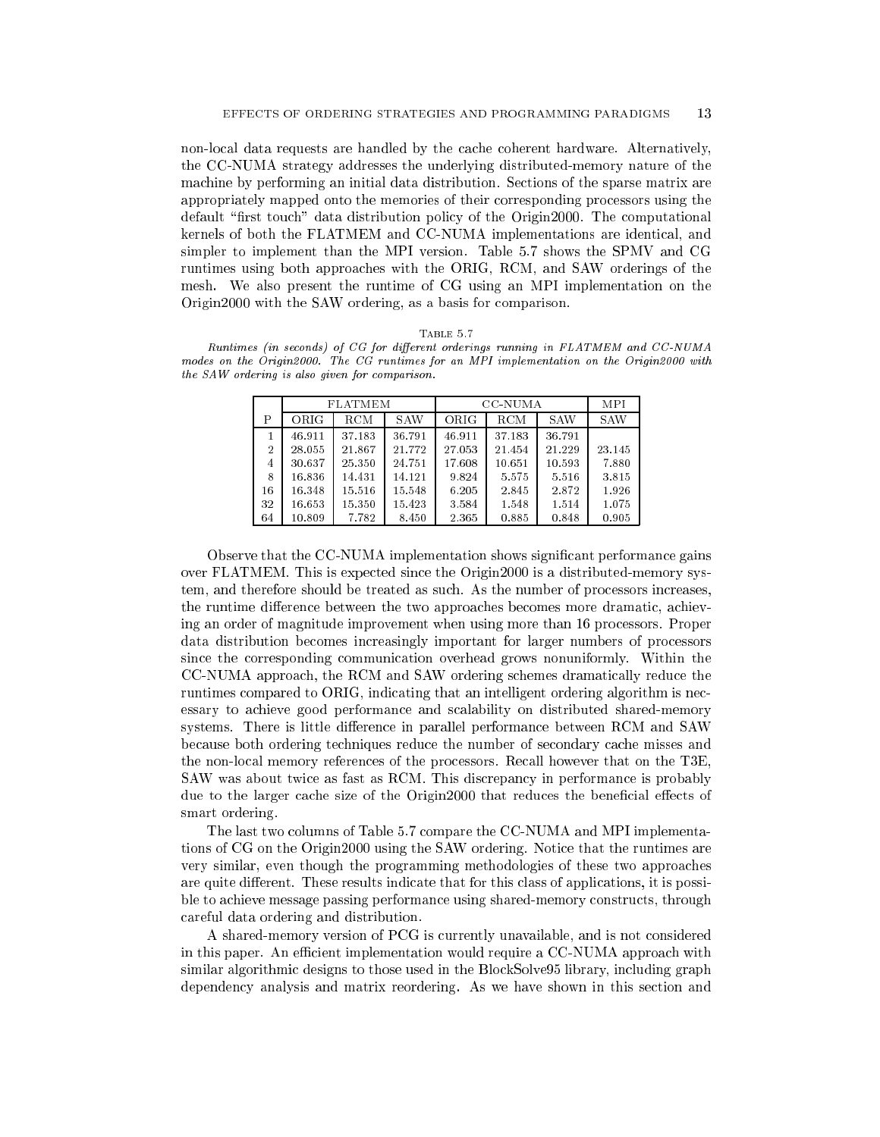non-local data requests are handled by the cache coherent hardware. Alternatively, the CC-NUMA strategy addresses the underlying distributed-memory nature of the machine by performing an initial data distribution. Sections of the sparse matrix are appropriately mapped onto the memories of their corresponding processors using the default "first touch" data distribution policy of the Origin2000. The computational kernels of both the FLATMEM and CC-NUMA implementations are identical, and simpler to implement than the MPI version. Table 5.7 shows the SPMV and CG runtimes using both approaches with the ORIG, RCM, and SAW orderings of the mesh. We also present the runtime of CG using an MPI implementation on the Origin2000 with the SAW ordering, as a basis for comparison.

| I'ABLE. |  |
|---------|--|
|         |  |

Runtimes (in seconds) of CG for different orderings running in FLATMEM and CC-NUMA modes on the Origin2000. The CG runtimes for an MPI implementation on the Origin2000 with the SAW ordering is also given for comparison.

|                |        | <b>FLATMEM</b> |            |        | <b>CC-NUMA</b> |            |            |  |  |
|----------------|--------|----------------|------------|--------|----------------|------------|------------|--|--|
| P              | ORIG   | RCM            | <b>SAW</b> | ORIG   | RCM            | <b>SAW</b> | <b>SAW</b> |  |  |
|                | 46.911 | 37.183         | 36.791     | 46.911 | 37.183         | 36.791     |            |  |  |
| $\overline{2}$ | 28.055 | 21.867         | 21.772     | 27.053 | 21.454         | 21.229     | 23.145     |  |  |
| 4              | 30.637 | 25.350         | 24.751     | 17.608 | 10.651         | 10.593     | 7.880      |  |  |
| 8              | 16.836 | 14.431         | 14.121     | 9.824  | 5.575          | 5.516      | 3.815      |  |  |
| 16             | 16.348 | 15.516         | 15.548     | 6.205  | 2.845          | 2.872      | 1.926      |  |  |
| 32             | 16.653 | 15.350         | 15.423     | 3.584  | 1.548          | 1.514      | 1.075      |  |  |
| 64             | 10.809 | 7.782          | 8.450      | 2.365  | 0.885          | 0.848      | 0.905      |  |  |

Observe that the CC-NUMA implementation shows signicant performance gains over FLATMEM. This is expected since the Origin2000 is a distributed-memory system, and therefore should be treated as such. As the number of processors increases, the runtime difference between the two approaches becomes more dramatic, achieving an order of magnitude improvement when using more than 16 processors. Proper data distribution becomes increasingly important for larger numbers of processors since the corresponding communication overhead grows nonuniformly. Within the CC-NUMA approach, the RCM and SAW ordering schemes dramatically reduce the runtimes compared to ORIG, indicating that an intelligent ordering algorithm is necessary to achieve good performance and scalability on distributed shared-memory systems. There is little difference in parallel performance between RCM and SAW because both ordering techniques reduce the number of secondary cache misses and the non-local memory references of the processors. Recall however that on the T3E, SAW was about twice as fast as RCM. This discrepancy in performance is probably due to the larger cache size of the Origin2000 that reduces the beneficial effects of smart ordering.

The last two columns of Table 5.7 compare the CC-NUMA and MPI implementations of CG on the Origin2000 using the SAW ordering. Notice that the runtimes are very similar, even though the programming methodologies of these two approaches are quite different. These results indicate that for this class of applications, it is possible to achieve message passing performance using shared-memory constructs, through careful data ordering and distribution.

A shared-memory version of PCG is currently unavailable, and is not considered in this paper. An efficient implementation would require a CC-NUMA approach with similar algorithmic designs to those used in the BlockSolve95 library, including graph dependency analysis and matrix reordering. As we have shown in this section and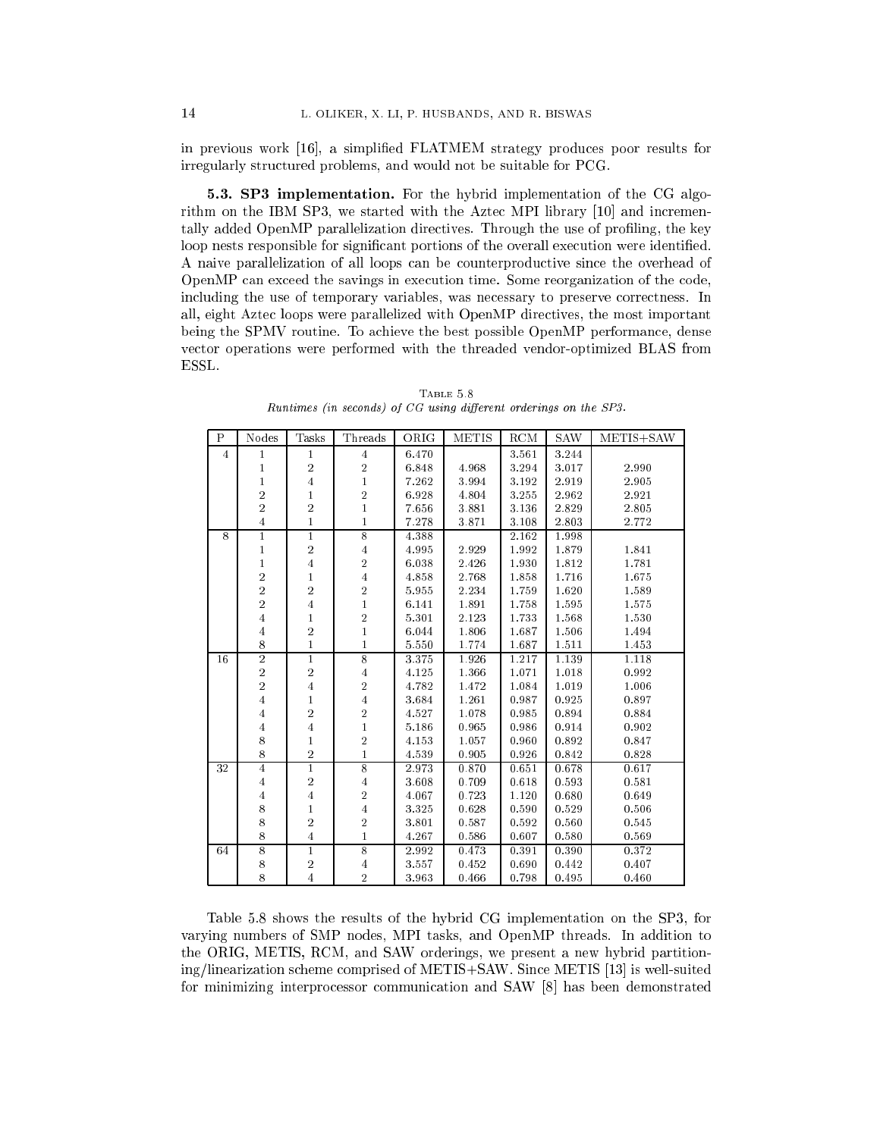in previous work [16], a simplied FLATMEM strategy produces poor results for irregularly structured problems, and would not be suitable for PCG.

5.3. SP3 implementation. For the hybrid implementation of the CG algorithm on the IBM SP3, we started with the Aztec MPI library [10] and incrementally added OpenMP parallelization directives. Through the use of profiling, the key loop nests responsible for significant portions of the overall execution were identified. A naive parallelization of all loops can be counterproductive since the overhead of OpenMP can exceed the savings in execution time. Some reorganization of the code, including the use of temporary variables, was necessary to preserve correctness. In all, eight Aztec loops were parallelized with OpenMP directives, the most important being the SPMV routine. To achieve the best possible OpenMP performance, dense vector operations were performed with the threaded vendor-optimized BLAS from ESSL.

| $\mathbf P$    | Nodes                   | Tasks          | Threads        | ORIG      | <b>METIS</b> | $\mathop{\mathrm{RCM}}$ | <b>SAW</b> | METIS+SAW |
|----------------|-------------------------|----------------|----------------|-----------|--------------|-------------------------|------------|-----------|
| $\overline{4}$ | $\mathbf{1}$            | $\mathbf{1}$   | $\overline{4}$ | 6.470     |              | 3.561                   | $3.244\,$  |           |
|                | $\mathbf{1}$            | $\,2$          | $\overline{2}$ | 6.848     | 4.968        | 3.294                   | 3.017      | 2.990     |
|                | 1                       | $\overline{4}$ | $\mathbf{1}$   | $7.26\,2$ | 3.994        | 3.192                   | 2.919      | 2.905     |
|                | $\overline{\mathbf{2}}$ | $\,1$          | $\sqrt{2}$     | 6.928     | 4.804        | 3.255                   | 2.962      | 2.921     |
|                | $\overline{2}$          | $\overline{2}$ | $\mathbf{1}$   | 7.656     | 3.881        | 3.136                   | 2.829      | 2.805     |
|                | $\overline{4}$          | $\mathbf{1}$   | $\mathbf{1}$   | 7.278     | 3.871        | 3.108                   | 2.803      | 2.772     |
| 8              | $\mathbf{1}$            | $\overline{1}$ | $\overline{8}$ | 4.388     |              | 2.162                   | 1.998      |           |
|                | $\mathbf{1}$            | $\,2$          | $\overline{4}$ | 4.995     | 2.929        | 1.992                   | 1.879      | 1.841     |
|                | $\mathbf{1}$            | $\overline{4}$ | $\sqrt{2}$     | 6.038     | 2.426        | 1.930                   | 1.812      | 1.781     |
|                | $\overline{\mathbf{2}}$ | $\mathbf{1}$   | $\overline{4}$ | 4.858     | 2.768        | 1.858                   | 1.716      | 1.675     |
|                | $\overline{\mathbf{2}}$ | $\overline{2}$ | $\overline{2}$ | 5.955     | 2.234        | 1.759                   | 1.620      | 1.589     |
|                | $\overline{\mathbf{2}}$ | $\overline{4}$ | $\mathbf{1}$   | 6.141     | 1.891        | 1.758                   | 1.595      | 1.575     |
|                | $\overline{4}$          | $\mathbf{1}$   | $\sqrt{2}$     | 5.301     | 2.123        | 1.733                   | 1.568      | 1.530     |
|                | $\overline{4}$          | $\sqrt{2}$     | $\mathbf{1}$   | 6.044     | 1.806        | 1.687                   | 1.506      | 1.494     |
|                | 8                       | $\mathbf{1}$   | 1              | 5.550     | 1.774        | 1.687                   | 1.511      | 1.453     |
| 16             | $\overline{2}$          | $\overline{1}$ | $\overline{8}$ | 3.375     | 1.926        | 1.217                   | 1.139      | 1.118     |
|                | $\sqrt{2}$              | $\,2$          | $\overline{4}$ | 4.125     | 1.366        | 1.071                   | 1.018      | 0.992     |
|                | $\overline{2}$          | $\overline{4}$ | $\overline{2}$ | 4.782     | 1.472        | 1.084                   | 1.019      | 1.006     |
|                | $\overline{4}$          | $\mathbf 1$    | $\overline{4}$ | 3.684     | 1.261        | 0.987                   | 0.925      | 0.897     |
|                | $\overline{4}$          | $\,2$          | $\sqrt{2}$     | 4.527     | 1.078        | 0.985                   | 0.894      | 0.884     |
|                | $\overline{4}$          | $\overline{4}$ | $\mathbf{1}$   | 5.186     | 0.965        | 0.986                   | 0.914      | 0.902     |
|                | $\bf 8$                 | 1              | $\overline{2}$ | 4.153     | 1.057        | 0.960                   | 0.892      | 0.847     |
|                | $\bf 8$                 | $\,2$          | $\mathbf{1}$   | 4.539     | 0.905        | 0.926                   | 0.842      | 0.828     |
| 32             | $\overline{4}$          | $\overline{1}$ | $\overline{8}$ | 2.973     | 0.870        | 0.651                   | 0.678      | 0.617     |
|                | $\overline{4}$          | $\,2$          | $\overline{4}$ | 3.608     | 0.709        | 0.618                   | 0.593      | 0.581     |
|                | $\overline{4}$          | $\overline{4}$ | $\overline{2}$ | 4.067     | 0.723        | 1.120                   | 0.680      | 0.649     |
|                | $\bf 8$                 | $\mathbf{1}$   | $\overline{4}$ | 3.325     | 0.628        | 0.590                   | 0.529      | 0.506     |
|                | 8                       | $\,2$          | $\overline{2}$ | 3.801     | 0.587        | 0.592                   | 0.560      | 0.545     |
|                | 8                       | $\overline{4}$ | $\mathbf{1}$   | 4.267     | 0.586        | 0.607                   | 0.580      | 0.569     |
| 64             | $\overline{8}$          | $\overline{1}$ | $\overline{8}$ | 2.992     | 0.473        | 0.391                   | 0.390      | 0.372     |
|                | $\bf8$                  | $\,2$          | $\overline{4}$ | 3.557     | 0.452        | 0.690                   | 0.442      | 0.407     |
|                | 8                       | $\overline{4}$ | $\overline{2}$ | 3.963     | 0.466        | 0.798                   | 0.495      | 0.460     |

TABLE 5.8 Runtimes (in seconds) of CG using different orderings on the SP3.

Table 5.8 shows the results of the hybrid CG implementation on the SP3, for varying numbers of SMP nodes, MPI tasks, and OpenMP threads. In addition to the ORIG, METIS, RCM, and SAW orderings, we present a new hybrid partitioning/linearization scheme comprised of METIS+SAW. Since METIS [13] is well-suited for minimizing interprocessor communication and SAW [8] has been demonstrated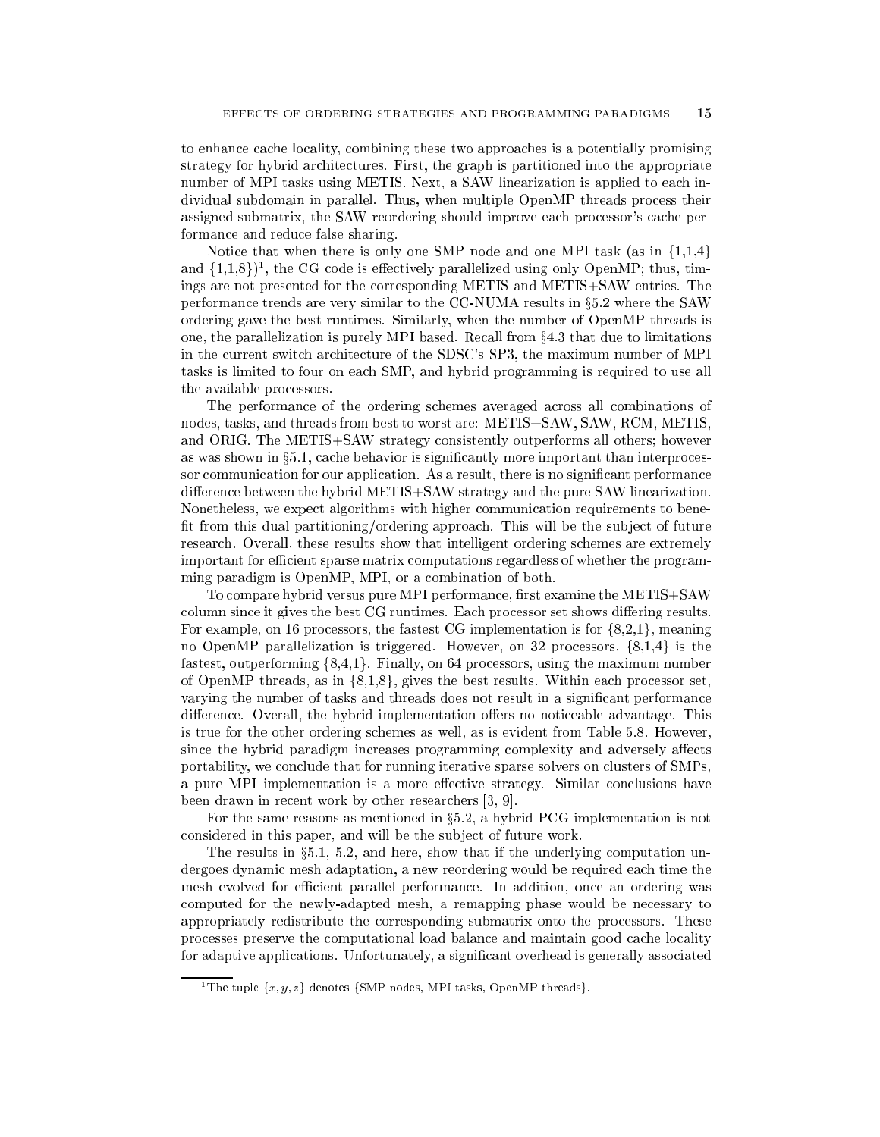to enhance cache locality, combining these two approaches is a potentially promising strategy for hybrid architectures. First, the graph is partitioned into the appropriate number of MPI tasks using METIS. Next, a SAW linearization is applied to each individual subdomain in parallel. Thus, when multiple OpenMP threads process their assigned submatrix, the SAW reordering should improve each processor's cache performance and reduce false sharing.

Notice that when there is only one SMP node and one MPI task (as in  $\{1,1,4\}$ ) and  $\{1,1,8\}$ <sup>1</sup>, the CG code is effectively parallelized using only OpenMP; thus, timings are not presented for the corresponding METIS and METIS+SAW entries. The performance trends are very similar to the  $CC-NUMA$  results in  $\S5.2$  where the SAW ordering gave the best runtimes. Similarly, when the number of OpenMP threads is one, the parallelization is purely MPI based. Recall from  $\S 4.3$  that due to limitations in the current switch architecture of the SDSC's SP3, the maximum number of MPI tasks is limited to four on each SMP, and hybrid programming is required to use all the available processors.

The performance of the ordering schemes averaged across all combinations of nodes, tasks, and threads from best to worst are: METIS+SAW, SAW, RCM, METIS, and ORIG. The METIS+SAW strategy consistently outperforms all others; however as was shown in  $\S 5.1$ , cache behavior is significantly more important than interprocessor communication for our application. As a result, there is no significant performance difference between the hybrid  $METIS+SAW$  strategy and the pure SAW linearization. Nonetheless, we expect algorithms with higher communication requirements to bene fit from this dual partitioning/ordering approach. This will be the subject of future research. Overall, these results show that intelligent ordering schemes are extremely important for efficient sparse matrix computations regardless of whether the programming paradigm is OpenMP, MPI, or a combination of both.

To compare hybrid versus pure MPI performance, first examine the METIS+SAW column since it gives the best CG runtimes. Each processor set shows differing results. For example, on 16 processors, the fastest CG implementation is for  $\{8,2,1\}$ , meaning no OpenMP parallelization is triggered. However, on 32 processors,  $\{8,1,4\}$  is the fastest, outperforming  $\{8,4,1\}$ . Finally, on 64 processors, using the maximum number of OpenMP threads, as in  $\{8,1,8\}$ , gives the best results. Within each processor set, varying the number of tasks and threads does not result in a signicant performance difference. Overall, the hybrid implementation offers no noticeable advantage. This is true for the other ordering schemes as well, as is evident from Table 5.8. However, since the hybrid paradigm increases programming complexity and adversely affects portability, we conclude that for running iterative sparse solvers on clusters of SMPs, a pure MPI implementation is a more effective strategy. Similar conclusions have been drawn in recent work by other researchers [3, 9].

For the same reasons as mentioned in  $\S 5.2$ , a hybrid PCG implementation is not considered in this paper, and will be the sub ject of future work.

The results in  $\S 5.1$ , 5.2, and here, show that if the underlying computation undergoes dynamic mesh adaptation, a new reordering would be required each time the mesh evolved for efficient parallel performance. In addition, once an ordering was computed for the newly-adapted mesh, a remapping phase would be necessary to appropriately redistribute the corresponding submatrix onto the processors. These processes preserve the computational load balance and maintain good cache locality for adaptive applications. Unfortunately, a signicant overhead is generally associated

<sup>&</sup>lt;sup>1</sup>The tuple  $\{x, y, z\}$  denotes  $\{SMP \text{ nodes}, MPI \text{ tasks}, OpenMP \text{ threads}\}.$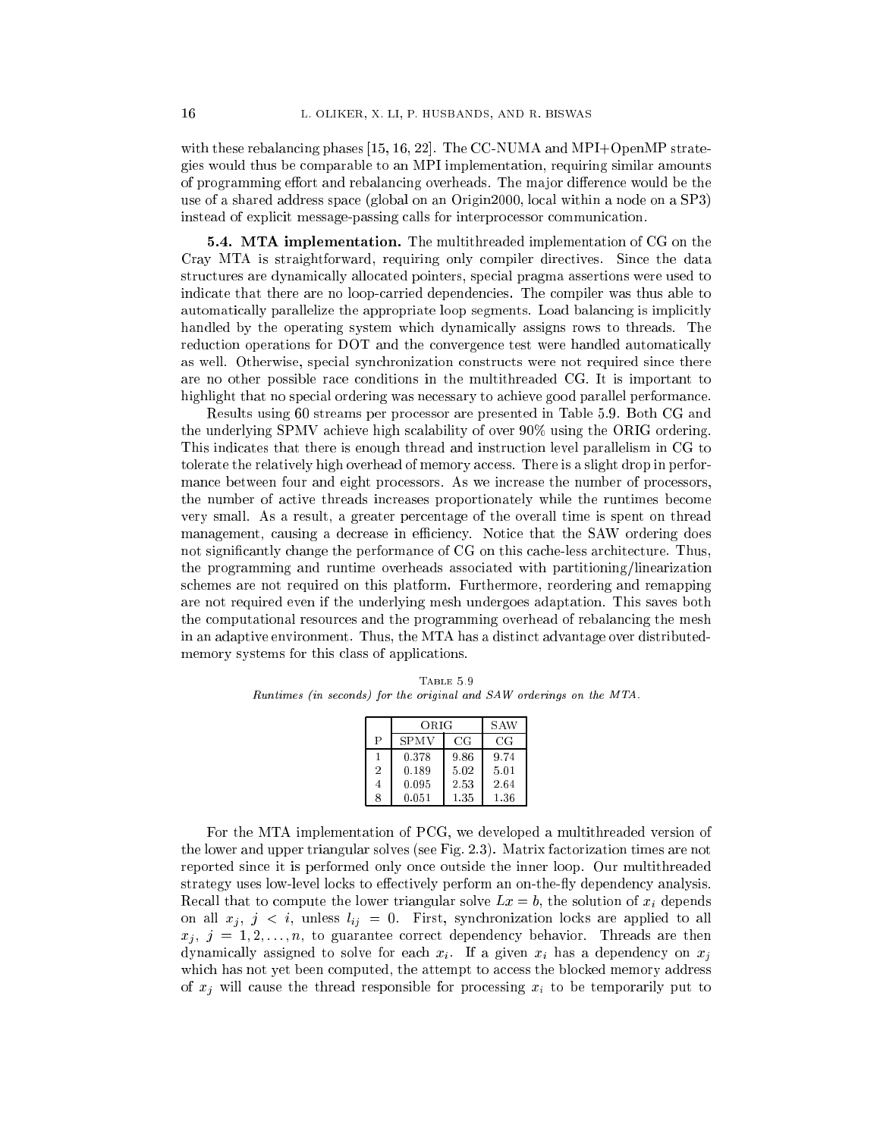with these rebalancing phases [15, 16, 22]. The CC-NUMA and MPI+OpenMP strategies would thus be comparable to an MPI implementation, requiring similar amounts of programming effort and rebalancing overheads. The major difference would be the use of a shared address space (global on an Origin2000, local within a node on a SP3) instead of explicit message-passing calls for interprocessor communication.

**5.4. MTA implementation.** The multithreaded implementation of CG on the Cray MTA is straightforward, requiring only compiler directives. Since the data structures are dynamically allocated pointers, special pragma assertions were used to indicate that there are no loop-carried dependencies. The compiler was thus able to automatically parallelize the appropriate loop segments. Load balancing is implicitly handled by the operating system which dynamically assigns rows to threads. The reduction operations for DOT and the convergence test were handled automatically as well. Otherwise, special synchronization constructs were not required since there are no other possible race conditions in the multithreaded CG. It is important to highlight that no special ordering was necessary to achieve good parallel performance.

Results using 60 streams per processor are presented in Table 5.9. Both CG and the underlying SPMV achieve high scalability of over 90% using the ORIG ordering. This indicates that there is enough thread and instruction level parallelism in CG to tolerate the relatively high overhead of memory access. There is a slight drop in performance between four and eight processors. As we increase the number of processors, the number of active threads increases proportionately while the runtimes become very small. As a result, a greater percentage of the overall time is spent on thread management, causing a decrease in efficiency. Notice that the SAW ordering does not signicantly change the performance of CG on this cache-less architecture. Thus, the programming and runtime overheads associated with partitioning/linearization schemes are not required on this platform. Furthermore, reordering and remapping are not required even if the underlying mesh undergoes adaptation. This saves both the computational resources and the programming overhead of rebalancing the mesh in an adaptive environment. Thus, the MTA has a distinct advantage over distributedmemory systems for this class of applications.

| TABLE 5.9                                                            |  |  |  |  |  |  |  |  |  |  |  |
|----------------------------------------------------------------------|--|--|--|--|--|--|--|--|--|--|--|
| Runtimes (in seconds) for the original and SAW orderings on the MTA. |  |  |  |  |  |  |  |  |  |  |  |

|                | ORIG        |             | S AW        |
|----------------|-------------|-------------|-------------|
| $\mathbf{P}$   | <b>SPMV</b> | $_{\rm CG}$ | $_{\rm CG}$ |
|                | 0.378       | 9.86        | 9.74        |
| $\overline{2}$ | 0.189       | 5.02        | 5.01        |
| 4              | 0.095       | 2.53        | 2.64        |
| 8              | 0.051       | 1.35        | 1.36        |

For the MTA implementation of PCG, we developed a multithreaded version of the lower and upper triangular solves (see Fig. 2.3). Matrix factorization times are not reported since it is performed only once outside the inner loop. Our multithreaded strategy uses low-level locks to effectively perform an on-the-fly dependency analysis. Recall that to compute the lower triangular solve  $Lx = b$ , the solution of  $x_i$  depends on all  $x_j$ ,  $j < i$ , unless  $l_{ij} = 0$ . First, synchronization locks are applied to all  $x_j, j = 1, 2, \ldots, n$ , to guarantee correct dependency behavior. Threads are then dynamically assigned to solve for each  $x_i$ . If a given  $x_i$  has a dependency on  $x_j$ which has not yet been computed, the attempt to access the blocked memory address of  $x_i$  will cause the thread responsible for processing  $x_i$  to be temporarily put to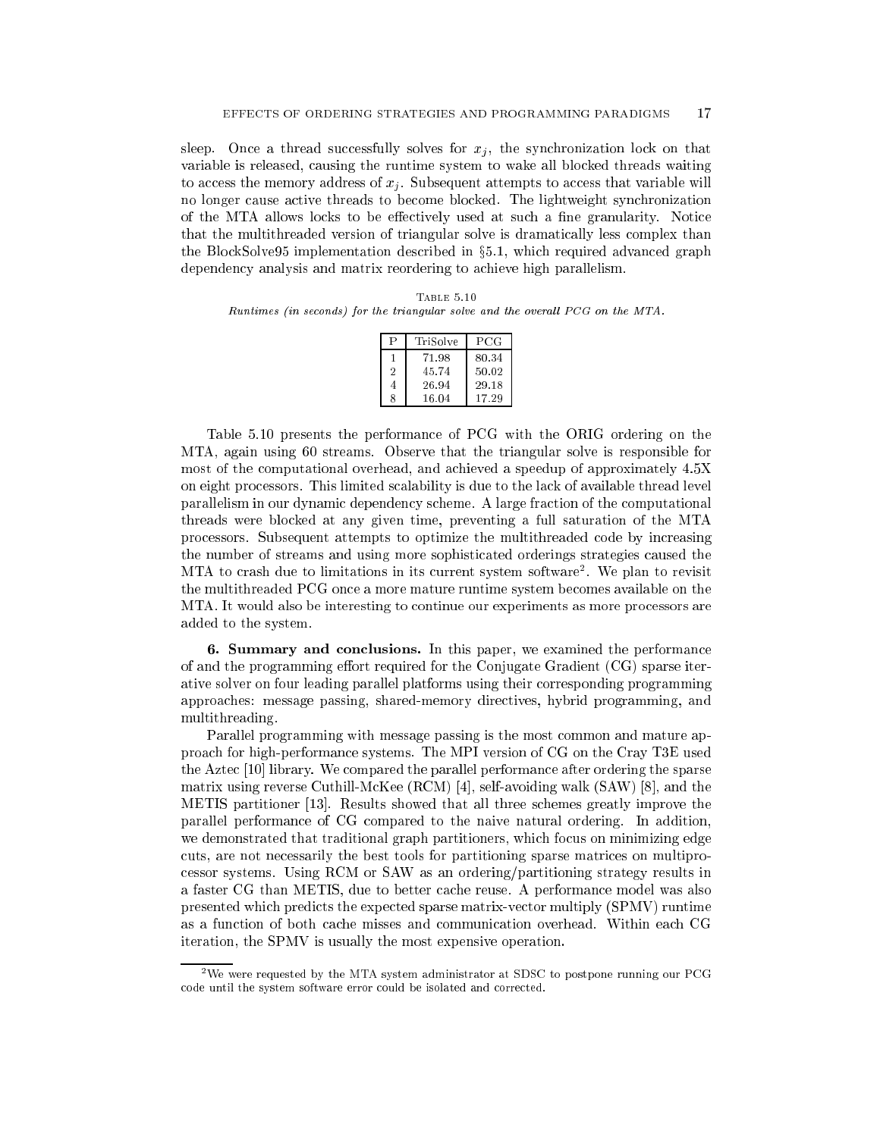sleep. Once a thread successfully solves for  $x_j$ , the synchronization lock on that variable is released, causing the runtime system to wake all blocked threads waiting to access the memory address of  $x_j$ . Subsequent attempts to access that variable will no longer cause active threads to become blocked. The lightweight synchronization of the MTA allows locks to be effectively used at such a fine granularity. Notice that the multithreaded version of triangular solve is dramatically less complex than the BlockSolve95 implementation described in §5.1, which required advanced graph dependency analysis and matrix reordering to achieve high parallelism.

Table 5.10 Runtimes (in seconds) for the triangular solve and the overall  $PCG$  on the MTA.

|                | TriSolve | PCG   |
|----------------|----------|-------|
|                | 71.98    | 80.34 |
| $\overline{2}$ | 45.74    | 50.02 |
| 4              | 26.94    | 29.18 |
| 8              | 16.04    | 17.29 |

Table 5.10 presents the performance of PCG with the ORIG ordering on the MTA, again using 60 streams. Observe that the triangular solve is responsible for most of the computational overhead, and achieved a speedup of approximately 4.5X on eight processors. This limited scalability is due to the lack of available thread level parallelism in our dynamic dependency scheme. A large fraction of the computational threads were blocked at any given time, preventing a full saturation of the MTA processors. Subsequent attempts to optimize the multithreaded code by increasing the number of streams and using more sophisticated orderings strategies caused the MTA to crash due to limitations in its current system software<sup>2</sup> . We plan to revisit the multithreaded PCG once a more mature runtime system becomes available on the MTA. It would also be interesting to continue our experiments as more processors are added to the system.

6. Summary and conclusions. In this paper, we examined the performance of and the programming effort required for the Conjugate Gradient  $(CG)$  sparse iterative solver on four leading parallel platforms using their corresponding programming approaches: message passing, shared-memory directives, hybrid programming, and multithreading.

Parallel programming with message passing is the most common and mature approach for high-performance systems. The MPI version of CG on the Cray T3E used the Aztec [10] library. We compared the parallel performance after ordering the sparse matrix using reverse Cuthill-McKee (RCM) [4], self-avoiding walk (SAW) [8], and the METIS partitioner [13]. Results showed that all three schemes greatly improve the parallel performance of CG compared to the naive natural ordering. In addition, we demonstrated that traditional graph partitioners, which focus on minimizing edge cuts, are not necessarily the best tools for partitioning sparse matrices on multiprocessor systems. Using RCM or SAW as an ordering/partitioning strategy results in a faster CG than METIS, due to better cache reuse. A performance model was also presented which predicts the expected sparse matrix-vector multiply (SPMV) runtime as a function of both cache misses and communication overhead. Within each CG iteration, the SPMV is usually the most expensive operation.

<sup>2</sup>We were requested by the MTA system administrator at SDSC to postpone running our PCG code until the system software error could be isolated and corrected.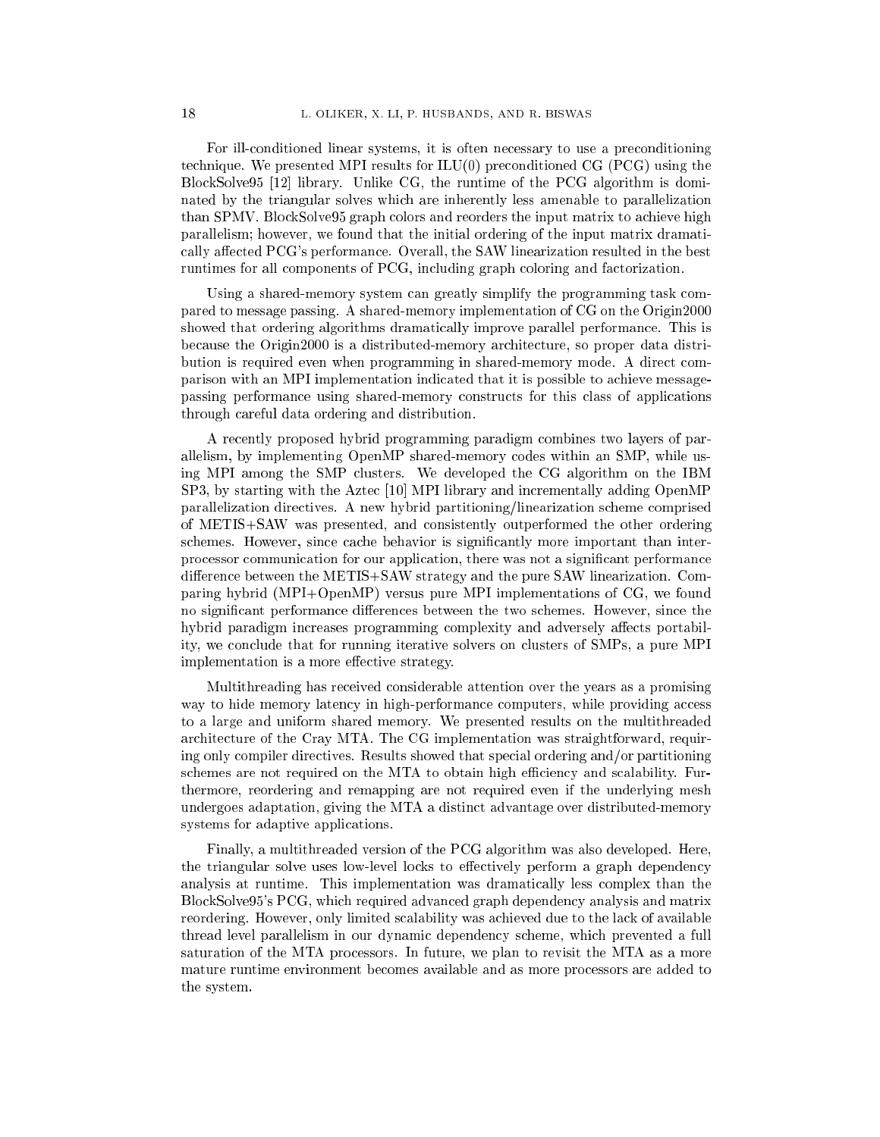For ill-conditioned linear systems, it is often necessary to use a preconditioning technique. We presented MPI results for ILU(0) preconditioned CG (PCG) using the BlockSolve95 [12] library. Unlike CG, the runtime of the PCG algorithm is dominated by the triangular solves which are inherently less amenable to parallelization than SPMV. BlockSolve95 graph colors and reorders the input matrix to achieve high parallelism; however, we found that the initial ordering of the input matrix dramatically affected PCG's performance. Overall, the SAW linearization resulted in the best runtimes for all components of PCG, including graph coloring and factorization.

Using a shared-memory system can greatly simplify the programming task compared to message passing. A shared-memory implementation of CG on the Origin2000 showed that ordering algorithms dramatically improve parallel performance. This is because the Origin2000 is a distributed-memory architecture, so proper data distribution is required even when programming in shared-memory mode. A direct comparison with an MPI implementation indicated that it is possible to achieve messagepassing performance using shared-memory constructs for this class of applications through careful data ordering and distribution.

A recently proposed hybrid programming paradigm combines two layers of parallelism, by implementing OpenMP shared-memory codes within an SMP, while using MPI among the SMP clusters. We developed the CG algorithm on the IBM SP3, by starting with the Aztec [10] MPI library and incrementally adding OpenMP parallelization directives. A new hybrid partitioning/linearization scheme comprised of METIS+SAW was presented, and consistently outperformed the other ordering schemes. However, since cache behavior is significantly more important than interprocessor communication for our application, there was not a signicant performance difference between the METIS+SAW strategy and the pure SAW linearization. Comparing hybrid (MPI+OpenMP) versus pure MPI implementations of CG, we found no significant performance differences between the two schemes. However, since the hybrid paradigm increases programming complexity and adversely affects portability, we conclude that for running iterative solvers on clusters of SMPs, a pure MPI implementation is a more effective strategy.

Multithreading has received considerable attention over the years as a promising way to hide memory latency in high-performance computers, while providing access to a large and uniform shared memory. We presented results on the multithreaded architecture of the Cray MTA. The CG implementation was straightforward, requiring only compiler directives. Results showed that special ordering and/or partitioning schemes are not required on the MTA to obtain high efficiency and scalability. Furthermore, reordering and remapping are not required even if the underlying mesh undergoes adaptation, giving the MTA a distinct advantage over distributed-memory systems for adaptive applications.

Finally, a multithreaded version of the PCG algorithm was also developed. Here, the triangular solve uses low-level locks to effectively perform a graph dependency analysis at runtime. This implementation was dramatically less complex than the BlockSolve95's PCG, which required advanced graph dependency analysis and matrix reordering. However, only limited scalability was achieved due to the lack of available thread level parallelism in our dynamic dependency scheme, which prevented a full saturation of the MTA processors. In future, we plan to revisit the MTA as a more mature runtime environment becomes available and as more processors are added to the system.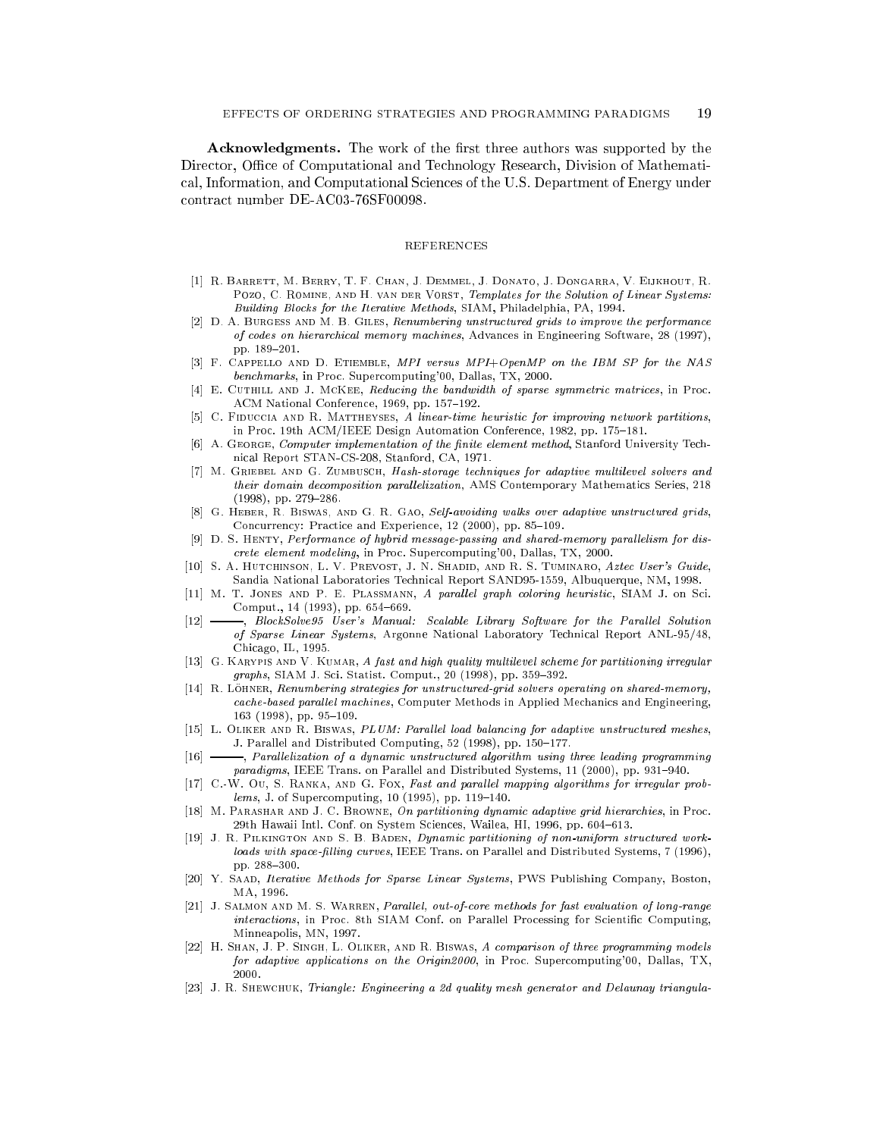**Acknowledgments.** The work of the first three authors was supported by the Director, Office of Computational and Technology Research, Division of Mathematical, Information, and Computational Sciences of the U.S. Department of Energy under contract number DE-AC03-76SF00098.

## REFERENCES

- [1] R. Barrett, M. Berry, T. F. Chan, J. Demmel, J. Donato, J. Dongarra, V. Eijkhout, R. POZO, C. ROMINE, AND H. VAN DER VORST, Templates for the Solution of Linear Systems: Building Blocks for the Iterative Methods, SIAM, Philadelphia, PA, 1994.
- [2] D. A. Burgess and M. B. Giles, Renumbering unstructured grids to improve the performance of codes on hierarchical memory machines, Advances in Engineering Software, 28 (1997), pp. 189-201.
- [3] F. Cappello and D. Etiemble, MPI versus MPI+OpenMP on the IBM SP for the NAS benchmarks, in Proc. Supercomputing'00, Dallas, TX, 2000.
- [4] E. CUTHILL AND J. MCKEE, Reducing the bandwidth of sparse symmetric matrices, in Proc. ACM National Conference, 1969, pp. 157-192.
- [5] C. FIDUCCIA AND R. MATTHEYSES, A linear-time heuristic for improving network partitions, in Proc. 19th ACM/IEEE Design Automation Conference, 1982, pp. 175-181.
- [6] A. GEORGE, Computer implementation of the finite element method, Stanford University Technical Report STAN-CS-208, Stanford, CA, 1971.
- [7] M. GRIEBEL AND G. ZUMBUSCH, Hash-storage techniques for adaptive multilevel solvers and their domain decomposition parallelization, AMS Contemporary Mathematics Series, 218  $(1998)$ , pp. 279-286.
- [8] G. HEBER, R. BISWAS, AND G. R. GAO, Self-avoiding walks over adaptive unstructured grids, Concurrency: Practice and Experience, 12 (2000), pp. 85-109.
- [9] D. S. HENTY, Performance of hybrid message-passing and shared-memory parallelism for discrete element modeling, in Proc. Supercomputing'00, Dallas, TX, 2000.
- [10] S. A. HUTCHINSON, L. V. PREVOST, J. N. SHADID, AND R. S. TUMINARO, Aztec User's Guide, Sandia National Laboratories Technical Report SAND95-1559, Albuquerque, NM, 1998.
- [11] M. T. JONES AND P. E. PLASSMANN, A parallel graph coloring heuristic, SIAM J. on Sci. Comput., 14 (1993), pp. 654-669.
- [12] BlockSolve95 User's Manual: Scalable Library Software for the Parallel Solution of Sparse Linear Systems, Argonne National Laboratory Technical Report ANL-95/48, Chicago, IL, 1995.
- [13] G. KARYPIS AND V. KUMAR, A fast and high quality multilevel scheme for partitioning irregular  $graphs, SIAM J. Sci. Statist. Comput., 20 (1998), pp. 359-392.$
- [14] R. Löhner, Renumbering strategies for unstructured-grid solvers operating on shared-memory, cache-based parallel machines, Computer Methods in Applied Mechanics and Engineering, 163 (1998), pp. 95-109.
- [15] L. OLIKER AND R. BISWAS, PLUM: Parallel load balancing for adaptive unstructured meshes, J. Parallel and Distributed Computing, 52 (1998), pp. 150-177.
- [16]  $\longrightarrow$ , Parallelization of a dynamic unstructured algorithm using three leading programming paradigms, IEEE Trans. on Parallel and Distributed Systems, 11 (2000), pp. 931-940.
- [17] C.-W. Ou, S. RANKA, AND G. Fox, Fast and parallel mapping algorithms for irregular prob $lems, J.$  of Supercomputing, 10 (1995), pp. 119-140.
- [18] M. Parashar and J. C. Browne, On partitioning dynamic adaptive grid hierarchies, in Proc. 29th Hawaii Intl. Conf. on System Sciences, Wailea, HI, 1996, pp. 604-613.
- [19] J. R. Pilkington and S. B. Baden, Dynamic partitioning of non-uniform structured workloads with space-filling curves, IEEE Trans. on Parallel and Distributed Systems, 7 (1996), pp. 288-300.
- [20] Y. SAAD, Iterative Methods for Sparse Linear Systems, PWS Publishing Company, Boston, MA. 1996. MA, 1996.
- [21] J. SALMON AND M. S. WARREN, Parallel, out-of-core methods for fast evaluation of long-range interactions, in Proc. 8th SIAM Conf. on Parallel Processing for Scientific Computing, Minneapolis, MN, 1997. Minneapolis, MN, 1997.
- [22] H. SHAN, J. P. SINGH, L. OLIKER, AND R. BISWAS, A comparison of three programming models for adaptive applications on the Origin2000, in Proc. Supercomputing'00, Dallas, TX, 2000.
- [23] J. R. Shewchuk, Triangle: Engineering a 2d quality mesh generator and Delaunay triangula-